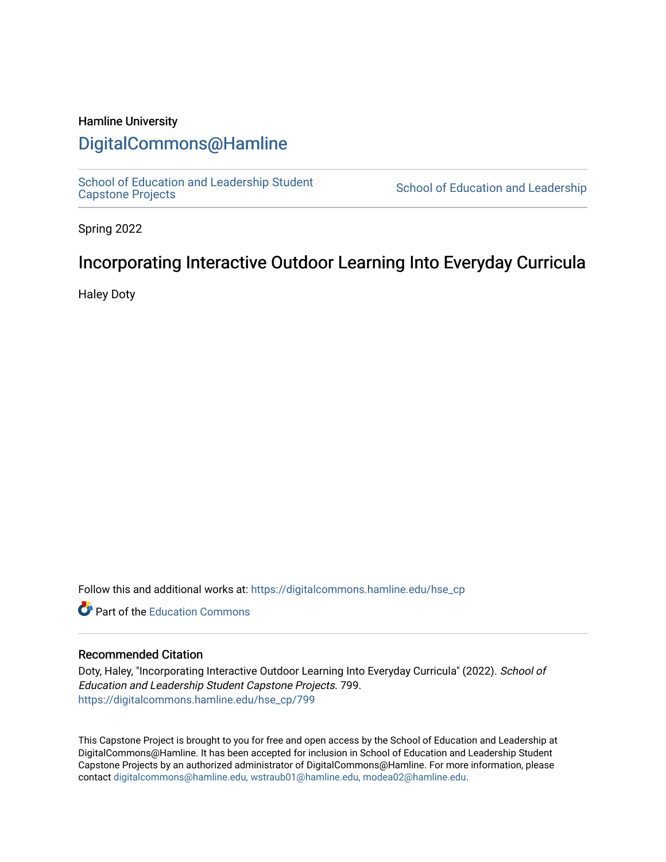# Hamline University

# [DigitalCommons@Hamline](https://digitalcommons.hamline.edu/)

[School of Education and Leadership Student](https://digitalcommons.hamline.edu/hse_cp)<br>Capstone Projects

School of Education and Leadership

Spring 2022

# Incorporating Interactive Outdoor Learning Into Everyday Curricula

Haley Doty

Follow this and additional works at: [https://digitalcommons.hamline.edu/hse\\_cp](https://digitalcommons.hamline.edu/hse_cp?utm_source=digitalcommons.hamline.edu%2Fhse_cp%2F799&utm_medium=PDF&utm_campaign=PDFCoverPages) 

**C** Part of the [Education Commons](https://network.bepress.com/hgg/discipline/784?utm_source=digitalcommons.hamline.edu%2Fhse_cp%2F799&utm_medium=PDF&utm_campaign=PDFCoverPages)

#### Recommended Citation

Doty, Haley, "Incorporating Interactive Outdoor Learning Into Everyday Curricula" (2022). School of Education and Leadership Student Capstone Projects. 799. [https://digitalcommons.hamline.edu/hse\\_cp/799](https://digitalcommons.hamline.edu/hse_cp/799?utm_source=digitalcommons.hamline.edu%2Fhse_cp%2F799&utm_medium=PDF&utm_campaign=PDFCoverPages) 

This Capstone Project is brought to you for free and open access by the School of Education and Leadership at DigitalCommons@Hamline. It has been accepted for inclusion in School of Education and Leadership Student Capstone Projects by an authorized administrator of DigitalCommons@Hamline. For more information, please contact [digitalcommons@hamline.edu, wstraub01@hamline.edu, modea02@hamline.edu.](mailto:digitalcommons@hamline.edu,%20wstraub01@hamline.edu,%20modea02@hamline.edu)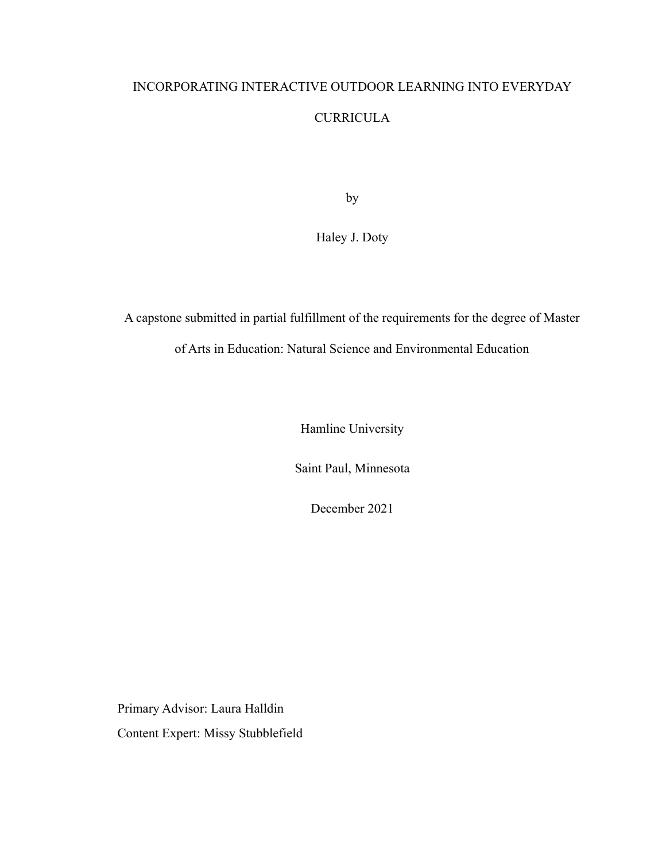# INCORPORATING INTERACTIVE OUTDOOR LEARNING INTO EVERYDAY CURRICULA

by

Haley J. Doty

A capstone submitted in partial fulfillment of the requirements for the degree of Master

of Arts in Education: Natural Science and Environmental Education

Hamline University

Saint Paul, Minnesota

December 2021

Primary Advisor: Laura Halldin Content Expert: Missy Stubblefield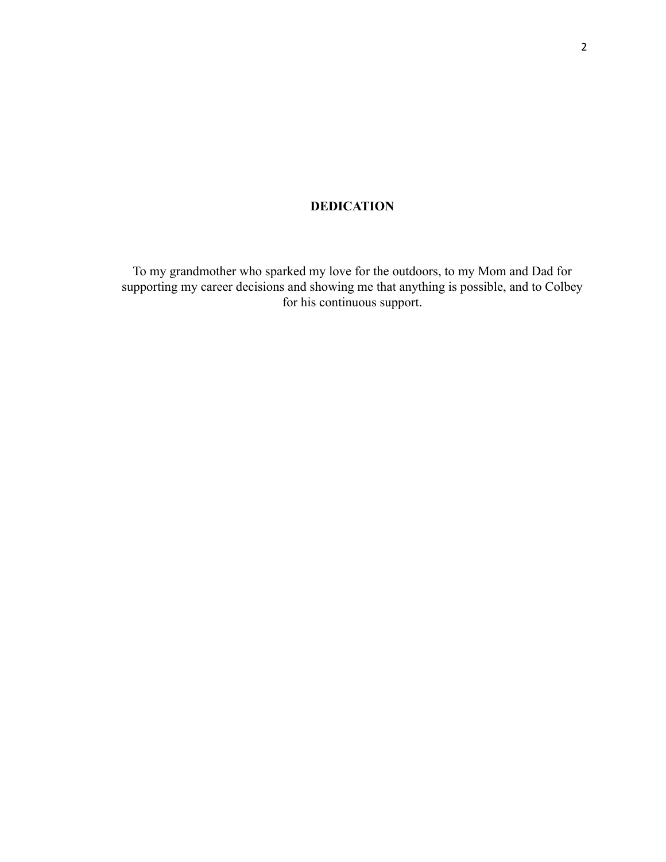# **DEDICATION**

To my grandmother who sparked my love for the outdoors, to my Mom and Dad for supporting my career decisions and showing me that anything is possible, and to Colbey for his continuous support.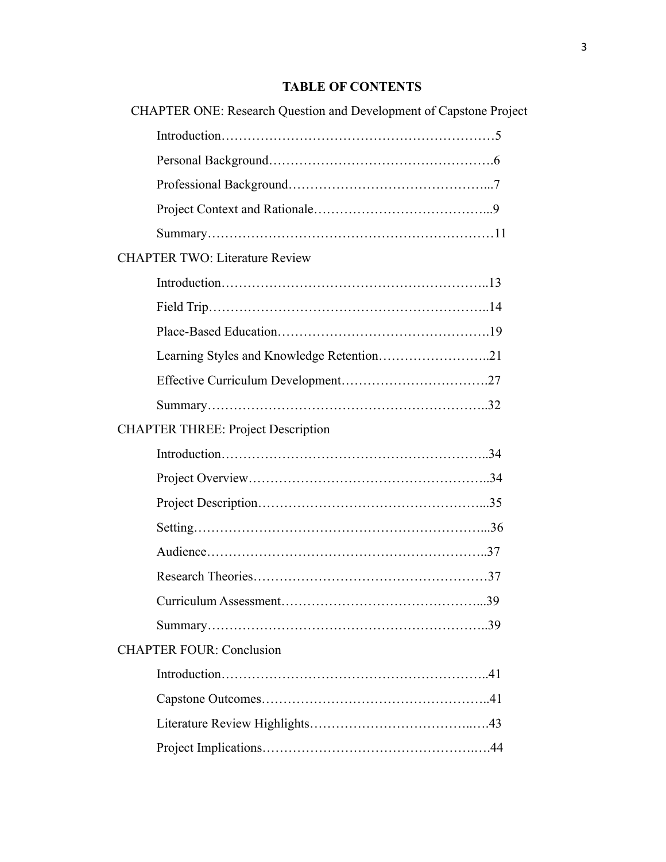# **TABLE OF CONTENTS**

| <b>CHAPTER ONE: Research Question and Development of Capstone Project</b> |  |
|---------------------------------------------------------------------------|--|
|                                                                           |  |
|                                                                           |  |
|                                                                           |  |
|                                                                           |  |
|                                                                           |  |
| <b>CHAPTER TWO: Literature Review</b>                                     |  |
|                                                                           |  |
|                                                                           |  |
|                                                                           |  |
|                                                                           |  |
|                                                                           |  |
|                                                                           |  |
| <b>CHAPTER THREE: Project Description</b>                                 |  |
|                                                                           |  |
|                                                                           |  |
|                                                                           |  |
|                                                                           |  |
|                                                                           |  |
|                                                                           |  |
|                                                                           |  |
|                                                                           |  |
| <b>CHAPTER FOUR: Conclusion</b>                                           |  |
|                                                                           |  |
|                                                                           |  |
|                                                                           |  |
|                                                                           |  |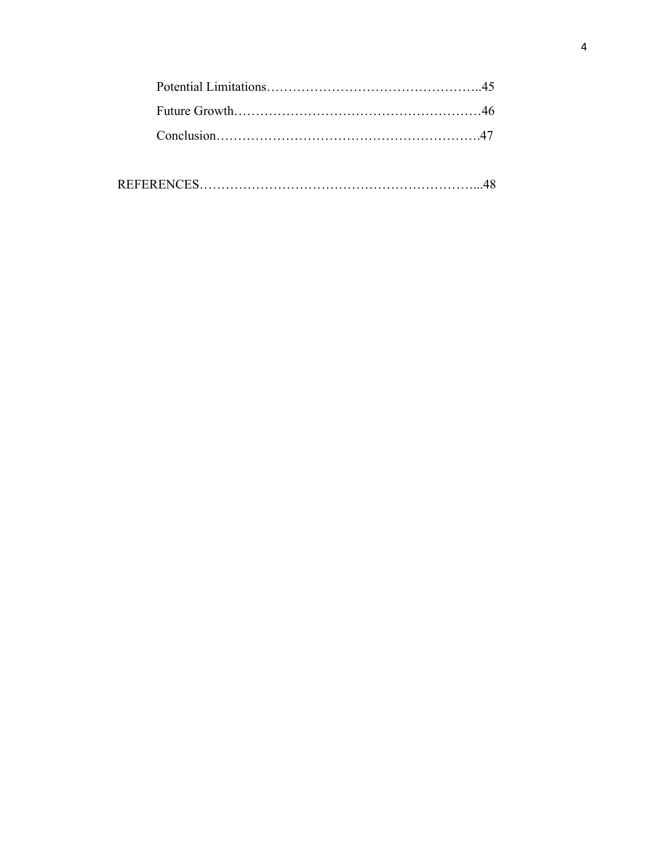|--|--|--|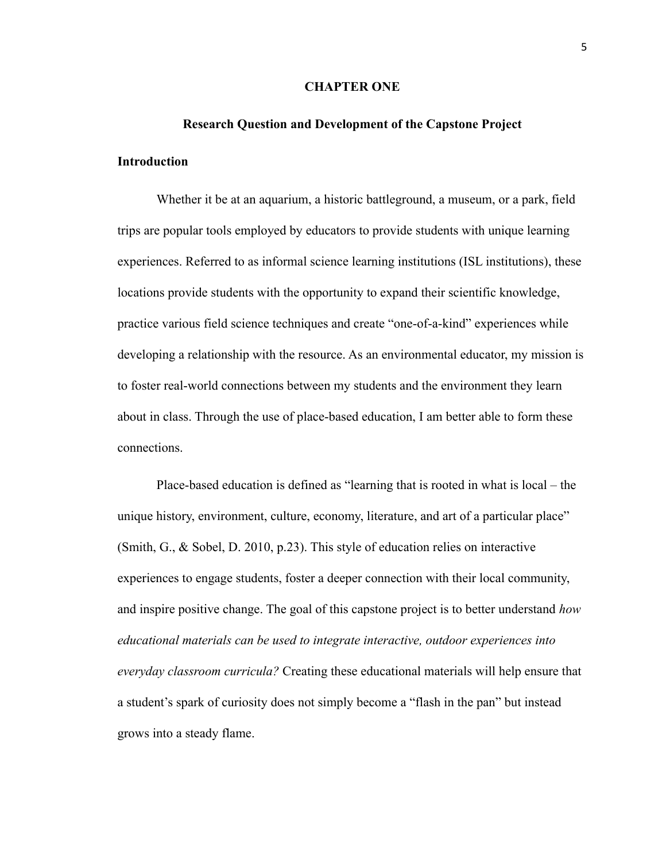#### **CHAPTER ONE**

# **Research Question and Development of the Capstone Project Introduction**

Whether it be at an aquarium, a historic battleground, a museum, or a park, field trips are popular tools employed by educators to provide students with unique learning experiences. Referred to as informal science learning institutions (ISL institutions), these locations provide students with the opportunity to expand their scientific knowledge, practice various field science techniques and create "one-of-a-kind" experiences while developing a relationship with the resource. As an environmental educator, my mission is to foster real-world connections between my students and the environment they learn about in class. Through the use of place-based education, I am better able to form these connections.

Place-based education is defined as "learning that is rooted in what is local – the unique history, environment, culture, economy, literature, and art of a particular place" (Smith, G., & Sobel, D. 2010, p.23). This style of education relies on interactive experiences to engage students, foster a deeper connection with their local community, and inspire positive change. The goal of this capstone project is to better understand *how educational materials can be used to integrate interactive, outdoor experiences into everyday classroom curricula?* Creating these educational materials will help ensure that a student's spark of curiosity does not simply become a "flash in the pan" but instead grows into a steady flame.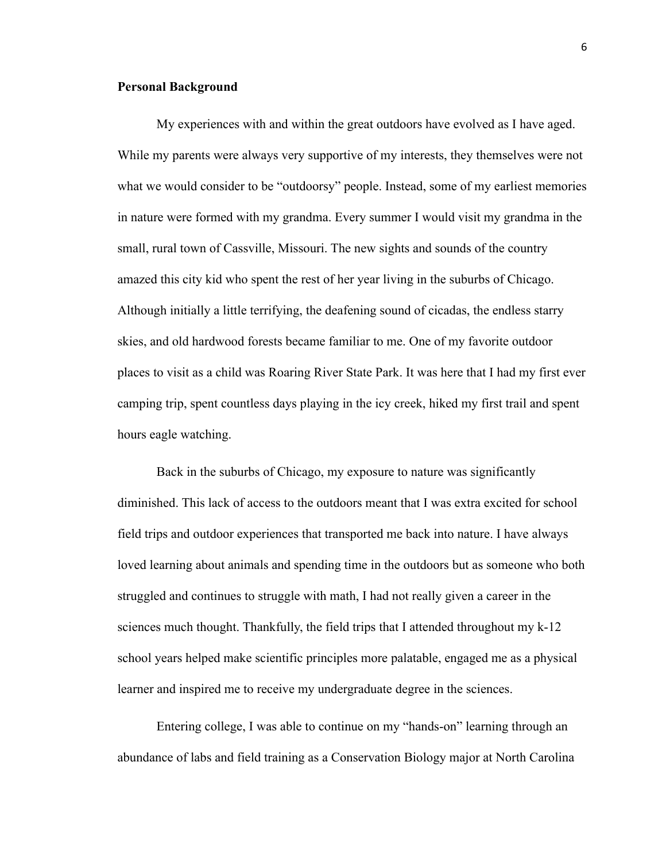### **Personal Background**

My experiences with and within the great outdoors have evolved as I have aged. While my parents were always very supportive of my interests, they themselves were not what we would consider to be "outdoorsy" people. Instead, some of my earliest memories in nature were formed with my grandma. Every summer I would visit my grandma in the small, rural town of Cassville, Missouri. The new sights and sounds of the country amazed this city kid who spent the rest of her year living in the suburbs of Chicago. Although initially a little terrifying, the deafening sound of cicadas, the endless starry skies, and old hardwood forests became familiar to me. One of my favorite outdoor places to visit as a child was Roaring River State Park. It was here that I had my first ever camping trip, spent countless days playing in the icy creek, hiked my first trail and spent hours eagle watching.

Back in the suburbs of Chicago, my exposure to nature was significantly diminished. This lack of access to the outdoors meant that I was extra excited for school field trips and outdoor experiences that transported me back into nature. I have always loved learning about animals and spending time in the outdoors but as someone who both struggled and continues to struggle with math, I had not really given a career in the sciences much thought. Thankfully, the field trips that I attended throughout my k-12 school years helped make scientific principles more palatable, engaged me as a physical learner and inspired me to receive my undergraduate degree in the sciences.

Entering college, I was able to continue on my "hands-on" learning through an abundance of labs and field training as a Conservation Biology major at North Carolina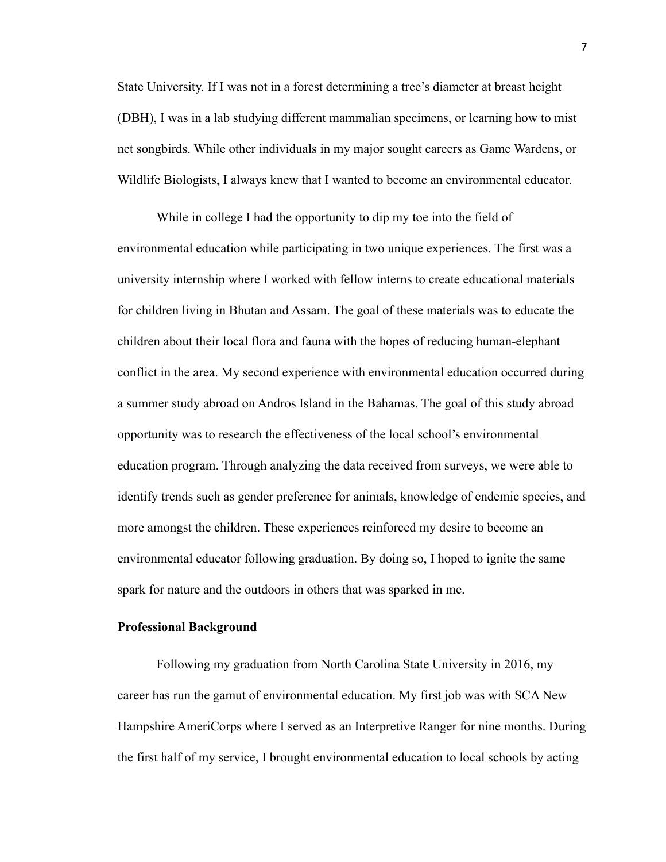State University. If I was not in a forest determining a tree's diameter at breast height (DBH), I was in a lab studying different mammalian specimens, or learning how to mist net songbirds. While other individuals in my major sought careers as Game Wardens, or Wildlife Biologists, I always knew that I wanted to become an environmental educator.

While in college I had the opportunity to dip my toe into the field of environmental education while participating in two unique experiences. The first was a university internship where I worked with fellow interns to create educational materials for children living in Bhutan and Assam. The goal of these materials was to educate the children about their local flora and fauna with the hopes of reducing human-elephant conflict in the area. My second experience with environmental education occurred during a summer study abroad on Andros Island in the Bahamas. The goal of this study abroad opportunity was to research the effectiveness of the local school's environmental education program. Through analyzing the data received from surveys, we were able to identify trends such as gender preference for animals, knowledge of endemic species, and more amongst the children. These experiences reinforced my desire to become an environmental educator following graduation. By doing so, I hoped to ignite the same spark for nature and the outdoors in others that was sparked in me.

#### **Professional Background**

Following my graduation from North Carolina State University in 2016, my career has run the gamut of environmental education. My first job was with SCA New Hampshire AmeriCorps where I served as an Interpretive Ranger for nine months. During the first half of my service, I brought environmental education to local schools by acting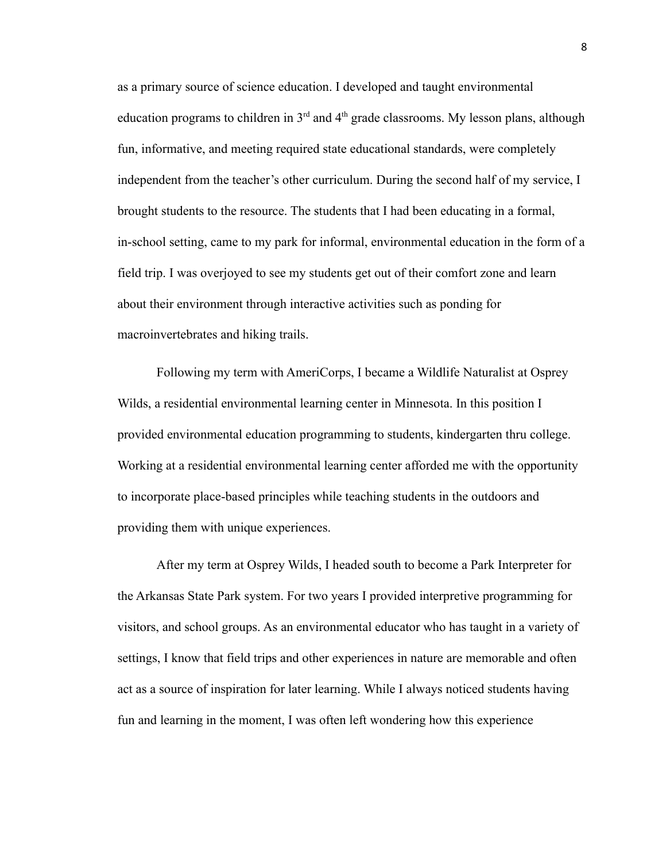as a primary source of science education. I developed and taught environmental education programs to children in  $3<sup>rd</sup>$  and  $4<sup>th</sup>$  grade classrooms. My lesson plans, although fun, informative, and meeting required state educational standards, were completely independent from the teacher's other curriculum. During the second half of my service, I brought students to the resource. The students that I had been educating in a formal, in-school setting, came to my park for informal, environmental education in the form of a field trip. I was overjoyed to see my students get out of their comfort zone and learn about their environment through interactive activities such as ponding for macroinvertebrates and hiking trails.

Following my term with AmeriCorps, I became a Wildlife Naturalist at Osprey Wilds, a residential environmental learning center in Minnesota. In this position I provided environmental education programming to students, kindergarten thru college. Working at a residential environmental learning center afforded me with the opportunity to incorporate place-based principles while teaching students in the outdoors and providing them with unique experiences.

After my term at Osprey Wilds, I headed south to become a Park Interpreter for the Arkansas State Park system. For two years I provided interpretive programming for visitors, and school groups. As an environmental educator who has taught in a variety of settings, I know that field trips and other experiences in nature are memorable and often act as a source of inspiration for later learning. While I always noticed students having fun and learning in the moment, I was often left wondering how this experience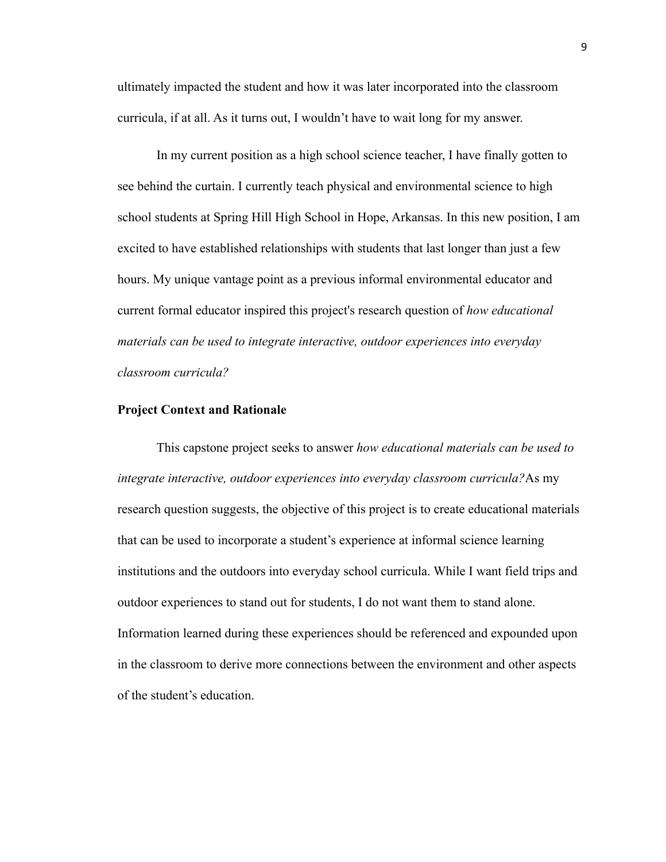ultimately impacted the student and how it was later incorporated into the classroom curricula, if at all. As it turns out, I wouldn't have to wait long for my answer.

In my current position as a high school science teacher, I have finally gotten to see behind the curtain. I currently teach physical and environmental science to high school students at Spring Hill High School in Hope, Arkansas. In this new position, I am excited to have established relationships with students that last longer than just a few hours. My unique vantage point as a previous informal environmental educator and current formal educator inspired this project's research question of *how educational materials can be used to integrate interactive, outdoor experiences into everyday classroom curricula?*

#### **Project Context and Rationale**

This capstone project seeks to answer *how educational materials can be used to integrate interactive, outdoor experiences into everyday classroom curricula?*As my research question suggests, the objective of this project is to create educational materials that can be used to incorporate a student's experience at informal science learning institutions and the outdoors into everyday school curricula. While I want field trips and outdoor experiences to stand out for students, I do not want them to stand alone. Information learned during these experiences should be referenced and expounded upon in the classroom to derive more connections between the environment and other aspects of the student's education.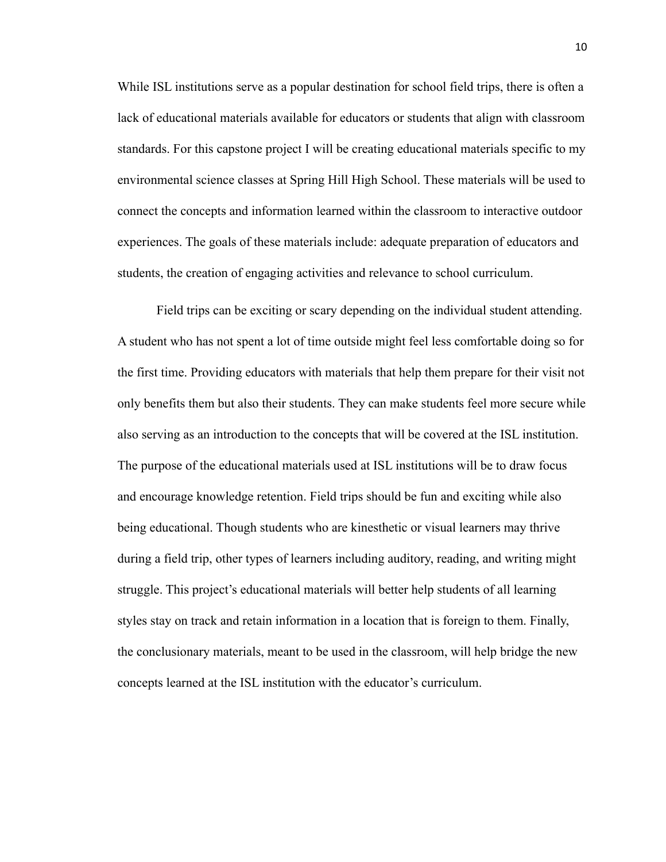While ISL institutions serve as a popular destination for school field trips, there is often a lack of educational materials available for educators or students that align with classroom standards. For this capstone project I will be creating educational materials specific to my environmental science classes at Spring Hill High School. These materials will be used to connect the concepts and information learned within the classroom to interactive outdoor experiences. The goals of these materials include: adequate preparation of educators and students, the creation of engaging activities and relevance to school curriculum.

Field trips can be exciting or scary depending on the individual student attending. A student who has not spent a lot of time outside might feel less comfortable doing so for the first time. Providing educators with materials that help them prepare for their visit not only benefits them but also their students. They can make students feel more secure while also serving as an introduction to the concepts that will be covered at the ISL institution. The purpose of the educational materials used at ISL institutions will be to draw focus and encourage knowledge retention. Field trips should be fun and exciting while also being educational. Though students who are kinesthetic or visual learners may thrive during a field trip, other types of learners including auditory, reading, and writing might struggle. This project's educational materials will better help students of all learning styles stay on track and retain information in a location that is foreign to them. Finally, the conclusionary materials, meant to be used in the classroom, will help bridge the new concepts learned at the ISL institution with the educator's curriculum.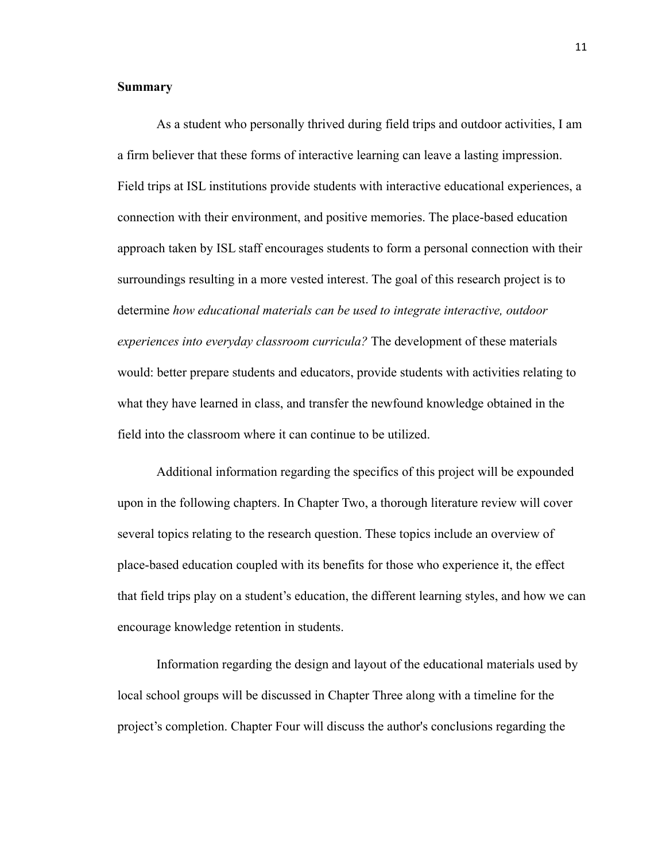#### **Summary**

As a student who personally thrived during field trips and outdoor activities, I am a firm believer that these forms of interactive learning can leave a lasting impression. Field trips at ISL institutions provide students with interactive educational experiences, a connection with their environment, and positive memories. The place-based education approach taken by ISL staff encourages students to form a personal connection with their surroundings resulting in a more vested interest. The goal of this research project is to determine *how educational materials can be used to integrate interactive, outdoor experiences into everyday classroom curricula?* The development of these materials would: better prepare students and educators, provide students with activities relating to what they have learned in class, and transfer the newfound knowledge obtained in the field into the classroom where it can continue to be utilized.

Additional information regarding the specifics of this project will be expounded upon in the following chapters. In Chapter Two, a thorough literature review will cover several topics relating to the research question. These topics include an overview of place-based education coupled with its benefits for those who experience it, the effect that field trips play on a student's education, the different learning styles, and how we can encourage knowledge retention in students.

Information regarding the design and layout of the educational materials used by local school groups will be discussed in Chapter Three along with a timeline for the project's completion. Chapter Four will discuss the author's conclusions regarding the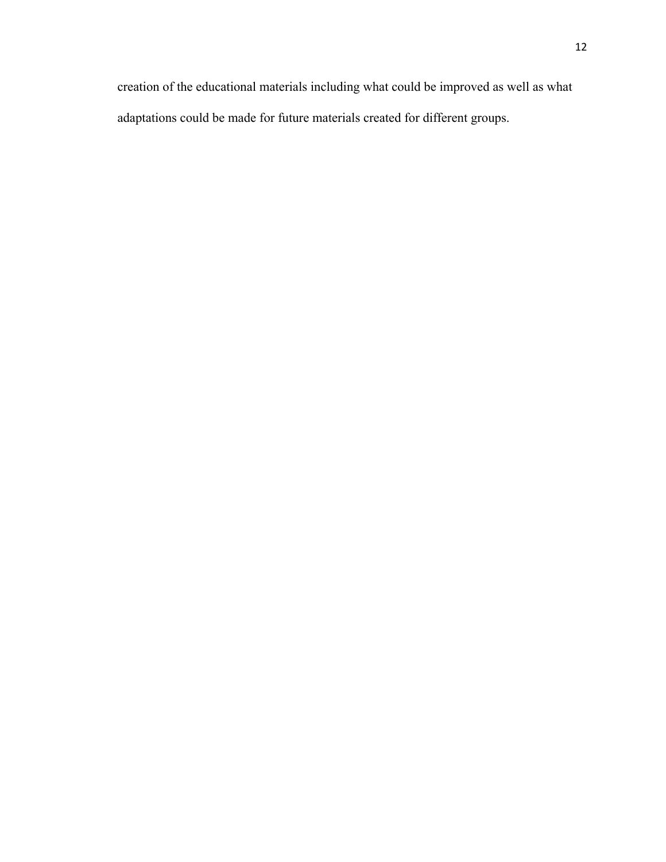creation of the educational materials including what could be improved as well as what adaptations could be made for future materials created for different groups.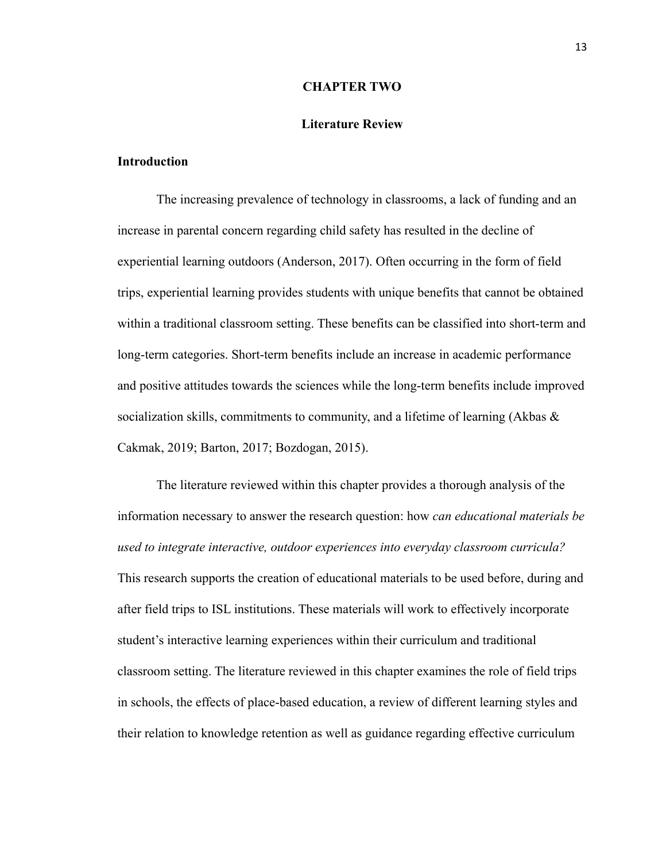#### **CHAPTER TWO**

#### **Literature Review**

# **Introduction**

The increasing prevalence of technology in classrooms, a lack of funding and an increase in parental concern regarding child safety has resulted in the decline of experiential learning outdoors (Anderson, 2017). Often occurring in the form of field trips, experiential learning provides students with unique benefits that cannot be obtained within a traditional classroom setting. These benefits can be classified into short-term and long-term categories. Short-term benefits include an increase in academic performance and positive attitudes towards the sciences while the long-term benefits include improved socialization skills, commitments to community, and a lifetime of learning (Akbas  $\&$ Cakmak, 2019; Barton, 2017; Bozdogan, 2015).

The literature reviewed within this chapter provides a thorough analysis of the information necessary to answer the research question: how *can educational materials be used to integrate interactive, outdoor experiences into everyday classroom curricula?* This research supports the creation of educational materials to be used before, during and after field trips to ISL institutions. These materials will work to effectively incorporate student's interactive learning experiences within their curriculum and traditional classroom setting. The literature reviewed in this chapter examines the role of field trips in schools, the effects of place-based education, a review of different learning styles and their relation to knowledge retention as well as guidance regarding effective curriculum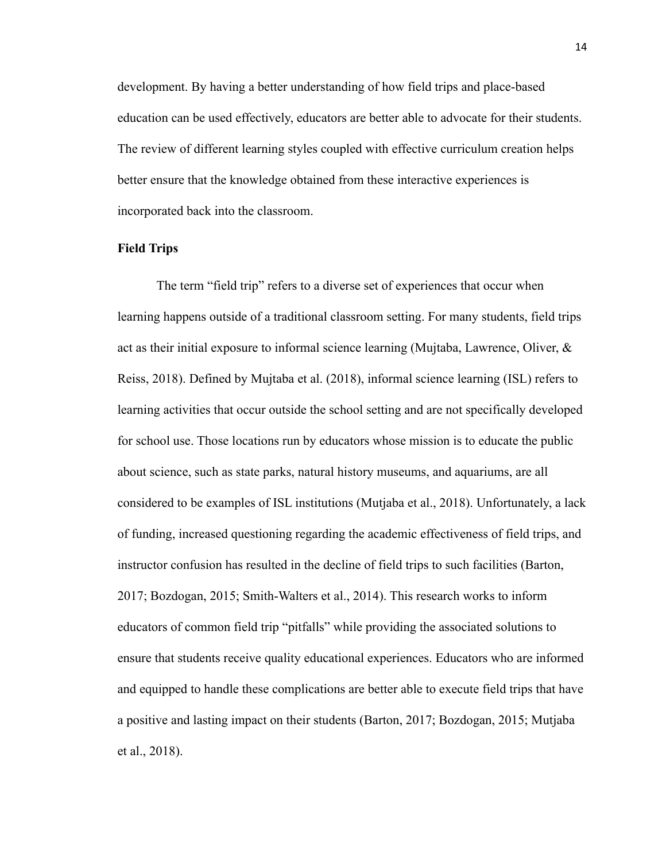development. By having a better understanding of how field trips and place-based education can be used effectively, educators are better able to advocate for their students. The review of different learning styles coupled with effective curriculum creation helps better ensure that the knowledge obtained from these interactive experiences is incorporated back into the classroom.

# **Field Trips**

The term "field trip" refers to a diverse set of experiences that occur when learning happens outside of a traditional classroom setting. For many students, field trips act as their initial exposure to informal science learning (Mujtaba, Lawrence, Oliver,  $\&$ Reiss, 2018). Defined by Mujtaba et al. (2018), informal science learning (ISL) refers to learning activities that occur outside the school setting and are not specifically developed for school use. Those locations run by educators whose mission is to educate the public about science, such as state parks, natural history museums, and aquariums, are all considered to be examples of ISL institutions (Mutjaba et al., 2018). Unfortunately, a lack of funding, increased questioning regarding the academic effectiveness of field trips, and instructor confusion has resulted in the decline of field trips to such facilities (Barton, 2017; Bozdogan, 2015; Smith-Walters et al., 2014). This research works to inform educators of common field trip "pitfalls" while providing the associated solutions to ensure that students receive quality educational experiences. Educators who are informed and equipped to handle these complications are better able to execute field trips that have a positive and lasting impact on their students (Barton, 2017; Bozdogan, 2015; Mutjaba et al., 2018).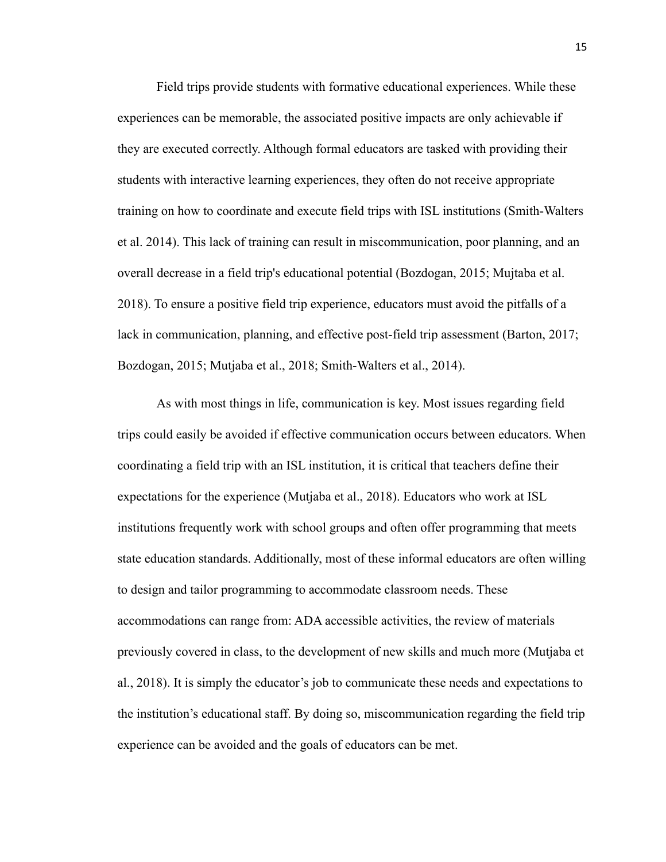Field trips provide students with formative educational experiences. While these experiences can be memorable, the associated positive impacts are only achievable if they are executed correctly. Although formal educators are tasked with providing their students with interactive learning experiences, they often do not receive appropriate training on how to coordinate and execute field trips with ISL institutions (Smith-Walters et al. 2014). This lack of training can result in miscommunication, poor planning, and an overall decrease in a field trip's educational potential (Bozdogan, 2015; Mujtaba et al. 2018). To ensure a positive field trip experience, educators must avoid the pitfalls of a lack in communication, planning, and effective post-field trip assessment (Barton, 2017; Bozdogan, 2015; Mutjaba et al., 2018; Smith-Walters et al., 2014).

As with most things in life, communication is key. Most issues regarding field trips could easily be avoided if effective communication occurs between educators. When coordinating a field trip with an ISL institution, it is critical that teachers define their expectations for the experience (Mutjaba et al., 2018). Educators who work at ISL institutions frequently work with school groups and often offer programming that meets state education standards. Additionally, most of these informal educators are often willing to design and tailor programming to accommodate classroom needs. These accommodations can range from: ADA accessible activities, the review of materials previously covered in class, to the development of new skills and much more (Mutjaba et al., 2018). It is simply the educator's job to communicate these needs and expectations to the institution's educational staff. By doing so, miscommunication regarding the field trip experience can be avoided and the goals of educators can be met.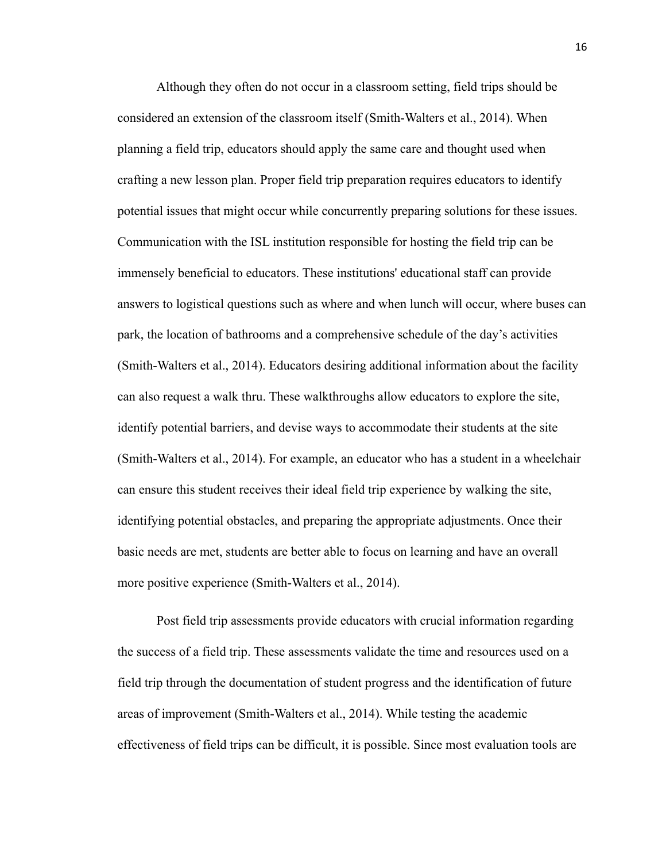Although they often do not occur in a classroom setting, field trips should be considered an extension of the classroom itself (Smith-Walters et al., 2014). When planning a field trip, educators should apply the same care and thought used when crafting a new lesson plan. Proper field trip preparation requires educators to identify potential issues that might occur while concurrently preparing solutions for these issues. Communication with the ISL institution responsible for hosting the field trip can be immensely beneficial to educators. These institutions' educational staff can provide answers to logistical questions such as where and when lunch will occur, where buses can park, the location of bathrooms and a comprehensive schedule of the day's activities (Smith-Walters et al., 2014). Educators desiring additional information about the facility can also request a walk thru. These walkthroughs allow educators to explore the site, identify potential barriers, and devise ways to accommodate their students at the site (Smith-Walters et al., 2014). For example, an educator who has a student in a wheelchair can ensure this student receives their ideal field trip experience by walking the site, identifying potential obstacles, and preparing the appropriate adjustments. Once their basic needs are met, students are better able to focus on learning and have an overall more positive experience (Smith-Walters et al., 2014).

Post field trip assessments provide educators with crucial information regarding the success of a field trip. These assessments validate the time and resources used on a field trip through the documentation of student progress and the identification of future areas of improvement (Smith-Walters et al., 2014). While testing the academic effectiveness of field trips can be difficult, it is possible. Since most evaluation tools are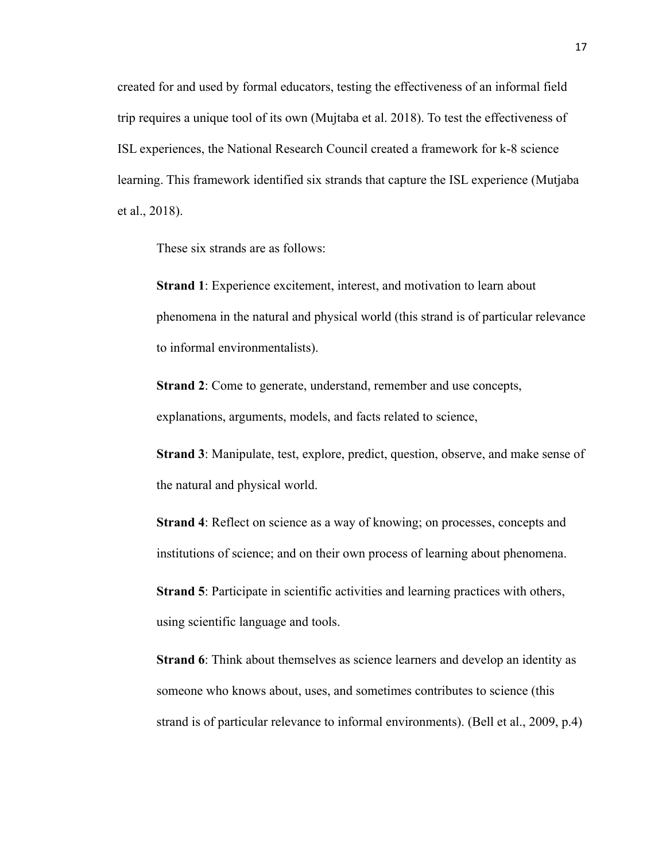created for and used by formal educators, testing the effectiveness of an informal field trip requires a unique tool of its own (Mujtaba et al. 2018). To test the effectiveness of ISL experiences, the National Research Council created a framework for k-8 science learning. This framework identified six strands that capture the ISL experience (Mutjaba et al., 2018).

These six strands are as follows:

**Strand 1**: Experience excitement, interest, and motivation to learn about phenomena in the natural and physical world (this strand is of particular relevance to informal environmentalists).

**Strand 2**: Come to generate, understand, remember and use concepts, explanations, arguments, models, and facts related to science,

**Strand 3**: Manipulate, test, explore, predict, question, observe, and make sense of the natural and physical world.

**Strand 4**: Reflect on science as a way of knowing; on processes, concepts and institutions of science; and on their own process of learning about phenomena.

**Strand 5**: Participate in scientific activities and learning practices with others, using scientific language and tools.

**Strand 6**: Think about themselves as science learners and develop an identity as someone who knows about, uses, and sometimes contributes to science (this strand is of particular relevance to informal environments). (Bell et al., 2009, p.4)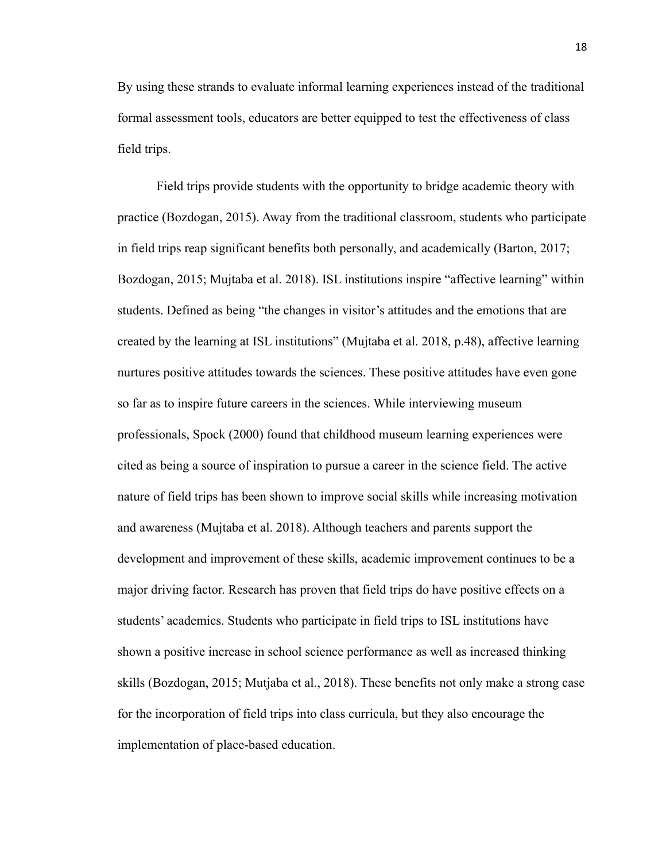By using these strands to evaluate informal learning experiences instead of the traditional formal assessment tools, educators are better equipped to test the effectiveness of class field trips.

Field trips provide students with the opportunity to bridge academic theory with practice (Bozdogan, 2015). Away from the traditional classroom, students who participate in field trips reap significant benefits both personally, and academically (Barton, 2017; Bozdogan, 2015; Mujtaba et al. 2018). ISL institutions inspire "affective learning" within students. Defined as being "the changes in visitor's attitudes and the emotions that are created by the learning at ISL institutions" (Mujtaba et al. 2018, p.48), affective learning nurtures positive attitudes towards the sciences. These positive attitudes have even gone so far as to inspire future careers in the sciences. While interviewing museum professionals, Spock (2000) found that childhood museum learning experiences were cited as being a source of inspiration to pursue a career in the science field. The active nature of field trips has been shown to improve social skills while increasing motivation and awareness (Mujtaba et al. 2018). Although teachers and parents support the development and improvement of these skills, academic improvement continues to be a major driving factor. Research has proven that field trips do have positive effects on a students' academics. Students who participate in field trips to ISL institutions have shown a positive increase in school science performance as well as increased thinking skills (Bozdogan, 2015; Mutjaba et al., 2018). These benefits not only make a strong case for the incorporation of field trips into class curricula, but they also encourage the implementation of place-based education.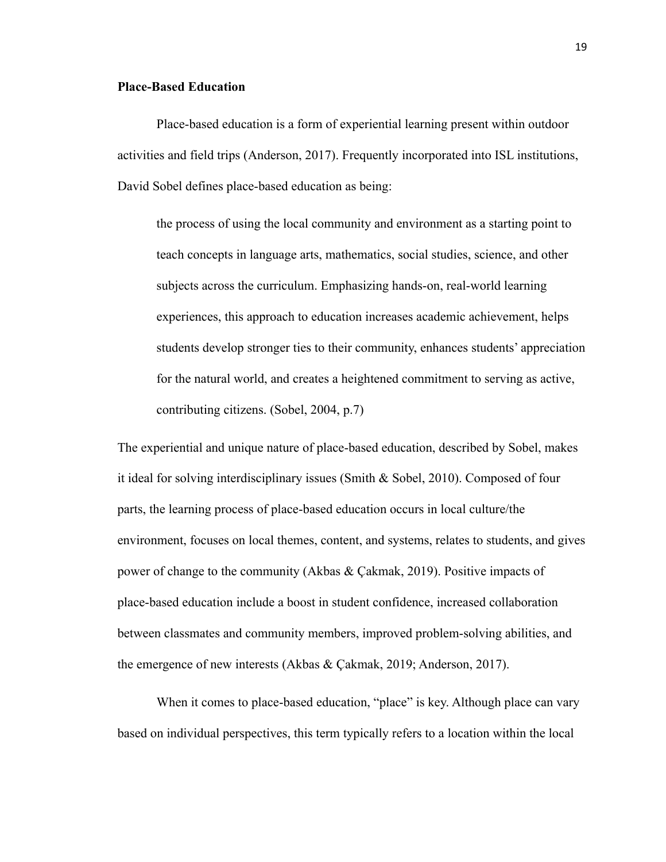## **Place-Based Education**

Place-based education is a form of experiential learning present within outdoor activities and field trips (Anderson, 2017). Frequently incorporated into ISL institutions, David Sobel defines place-based education as being:

the process of using the local community and environment as a starting point to teach concepts in language arts, mathematics, social studies, science, and other subjects across the curriculum. Emphasizing hands-on, real-world learning experiences, this approach to education increases academic achievement, helps students develop stronger ties to their community, enhances students' appreciation for the natural world, and creates a heightened commitment to serving as active, contributing citizens. (Sobel, 2004, p.7)

The experiential and unique nature of place-based education, described by Sobel, makes it ideal for solving interdisciplinary issues (Smith & Sobel, 2010). Composed of four parts, the learning process of place-based education occurs in local culture/the environment, focuses on local themes, content, and systems, relates to students, and gives power of change to the community (Akbas & Çakmak, 2019). Positive impacts of place-based education include a boost in student confidence, increased collaboration between classmates and community members, improved problem-solving abilities, and the emergence of new interests (Akbas & Çakmak, 2019; Anderson, 2017).

When it comes to place-based education, "place" is key. Although place can vary based on individual perspectives, this term typically refers to a location within the local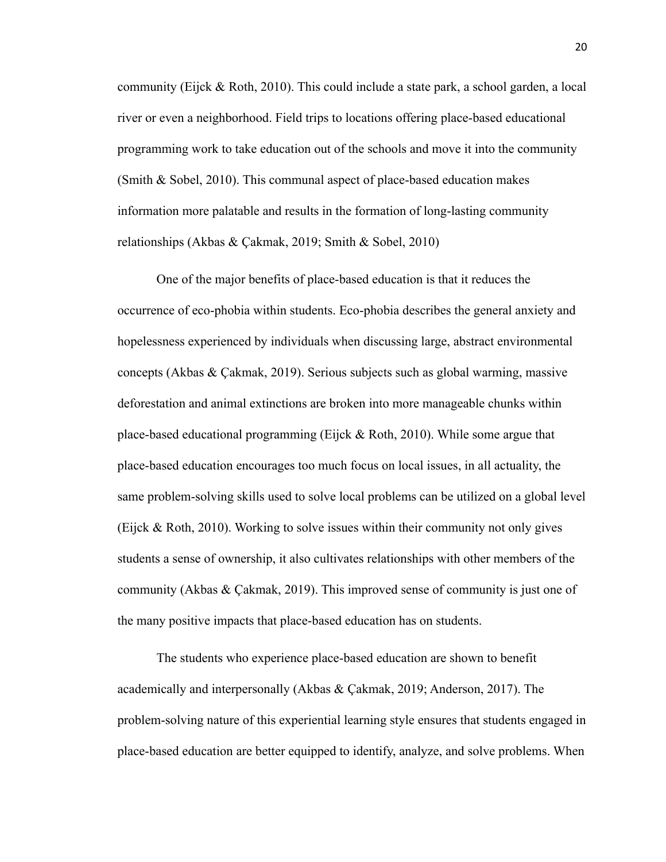community (Eijck & Roth, 2010). This could include a state park, a school garden, a local river or even a neighborhood. Field trips to locations offering place-based educational programming work to take education out of the schools and move it into the community (Smith & Sobel, 2010). This communal aspect of place-based education makes information more palatable and results in the formation of long-lasting community relationships (Akbas & Çakmak, 2019; Smith & Sobel, 2010)

One of the major benefits of place-based education is that it reduces the occurrence of eco-phobia within students. Eco-phobia describes the general anxiety and hopelessness experienced by individuals when discussing large, abstract environmental concepts (Akbas & Çakmak, 2019). Serious subjects such as global warming, massive deforestation and animal extinctions are broken into more manageable chunks within place-based educational programming (Eijck & Roth, 2010). While some argue that place-based education encourages too much focus on local issues, in all actuality, the same problem-solving skills used to solve local problems can be utilized on a global level (Eijck & Roth, 2010). Working to solve issues within their community not only gives students a sense of ownership, it also cultivates relationships with other members of the community (Akbas  $\&$  Cakmak, 2019). This improved sense of community is just one of the many positive impacts that place-based education has on students.

The students who experience place-based education are shown to benefit academically and interpersonally (Akbas & Çakmak, 2019; Anderson, 2017). The problem-solving nature of this experiential learning style ensures that students engaged in place-based education are better equipped to identify, analyze, and solve problems. When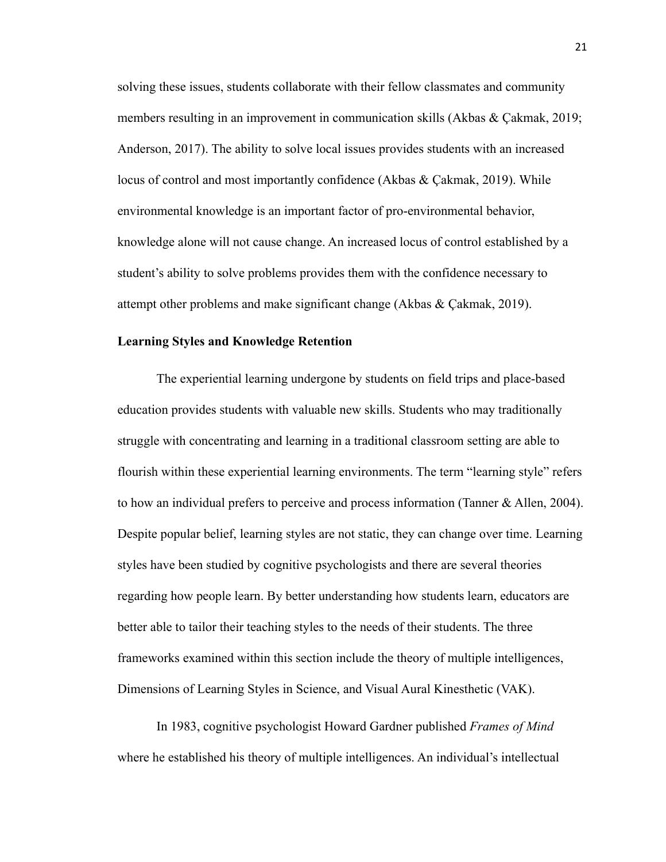solving these issues, students collaborate with their fellow classmates and community members resulting in an improvement in communication skills (Akbas  $\&$  Cakmak, 2019; Anderson, 2017). The ability to solve local issues provides students with an increased locus of control and most importantly confidence (Akbas & Çakmak, 2019). While environmental knowledge is an important factor of pro-environmental behavior, knowledge alone will not cause change. An increased locus of control established by a student's ability to solve problems provides them with the confidence necessary to attempt other problems and make significant change (Akbas & Çakmak, 2019).

#### **Learning Styles and Knowledge Retention**

The experiential learning undergone by students on field trips and place-based education provides students with valuable new skills. Students who may traditionally struggle with concentrating and learning in a traditional classroom setting are able to flourish within these experiential learning environments. The term "learning style" refers to how an individual prefers to perceive and process information (Tanner & Allen, 2004). Despite popular belief, learning styles are not static, they can change over time. Learning styles have been studied by cognitive psychologists and there are several theories regarding how people learn. By better understanding how students learn, educators are better able to tailor their teaching styles to the needs of their students. The three frameworks examined within this section include the theory of multiple intelligences, Dimensions of Learning Styles in Science, and Visual Aural Kinesthetic (VAK).

In 1983, cognitive psychologist Howard Gardner published *Frames of Mind* where he established his theory of multiple intelligences. An individual's intellectual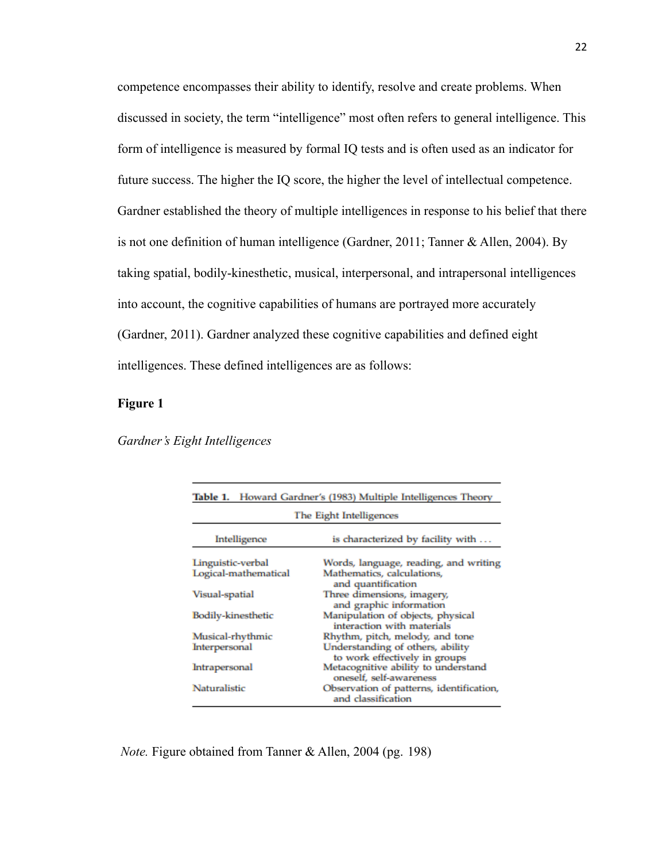competence encompasses their ability to identify, resolve and create problems. When discussed in society, the term "intelligence" most often refers to general intelligence. This form of intelligence is measured by formal IQ tests and is often used as an indicator for future success. The higher the IQ score, the higher the level of intellectual competence. Gardner established the theory of multiple intelligences in response to his belief that there is not one definition of human intelligence (Gardner, 2011; Tanner & Allen, 2004). By taking spatial, bodily-kinesthetic, musical, interpersonal, and intrapersonal intelligences into account, the cognitive capabilities of humans are portrayed more accurately (Gardner, 2011). Gardner analyzed these cognitive capabilities and defined eight intelligences. These defined intelligences are as follows:

# **Figure 1**

| Table 1.                  | Howard Gardner's (1983) Multiple Intelligences Theory             |  |
|---------------------------|-------------------------------------------------------------------|--|
| The Eight Intelligences   |                                                                   |  |
| Intelligence              | is characterized by facility with                                 |  |
| Linguistic-verbal         | Words, language, reading, and writing                             |  |
| Logical-mathematical      | Mathematics, calculations,<br>and quantification                  |  |
| Visual-spatial            | Three dimensions, imagery,<br>and graphic information             |  |
| <b>Bodily-kinesthetic</b> | Manipulation of objects, physical<br>interaction with materials   |  |
| Musical-rhythmic          | Rhythm, pitch, melody, and tone                                   |  |
| Interpersonal             | Understanding of others, ability<br>to work effectively in groups |  |
| Intrapersonal             | Metacognitive ability to understand<br>oneself, self-awareness    |  |
| Naturalistic              | Observation of patterns, identification,<br>and classification    |  |

#### *Gardner's Eight Intelligences*

*Note.* Figure obtained from Tanner & Allen, 2004 (pg. 198)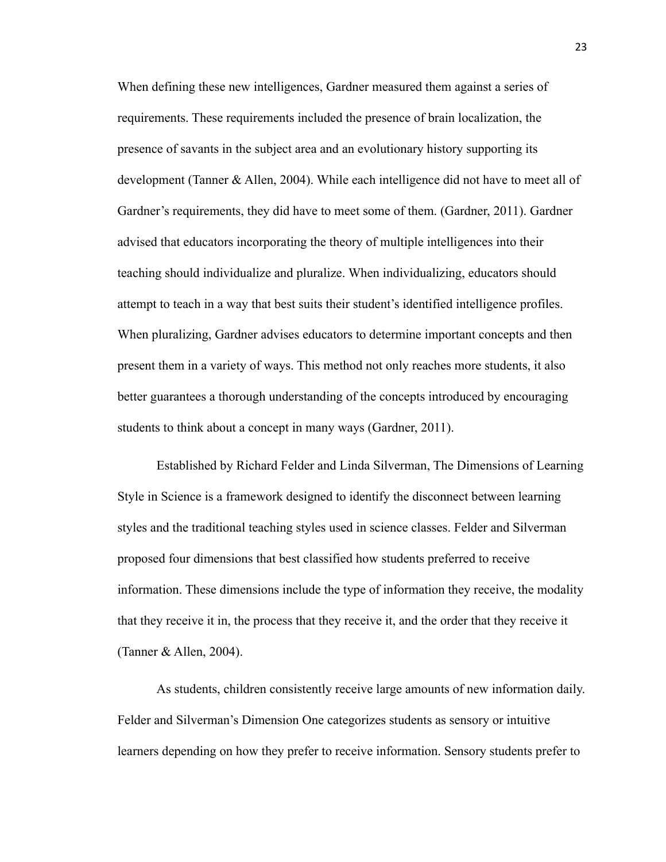When defining these new intelligences, Gardner measured them against a series of requirements. These requirements included the presence of brain localization, the presence of savants in the subject area and an evolutionary history supporting its development (Tanner & Allen, 2004). While each intelligence did not have to meet all of Gardner's requirements, they did have to meet some of them. (Gardner, 2011). Gardner advised that educators incorporating the theory of multiple intelligences into their teaching should individualize and pluralize. When individualizing, educators should attempt to teach in a way that best suits their student's identified intelligence profiles. When pluralizing, Gardner advises educators to determine important concepts and then present them in a variety of ways. This method not only reaches more students, it also better guarantees a thorough understanding of the concepts introduced by encouraging students to think about a concept in many ways (Gardner, 2011).

Established by Richard Felder and Linda Silverman, The Dimensions of Learning Style in Science is a framework designed to identify the disconnect between learning styles and the traditional teaching styles used in science classes. Felder and Silverman proposed four dimensions that best classified how students preferred to receive information. These dimensions include the type of information they receive, the modality that they receive it in, the process that they receive it, and the order that they receive it (Tanner & Allen, 2004).

As students, children consistently receive large amounts of new information daily. Felder and Silverman's Dimension One categorizes students as sensory or intuitive learners depending on how they prefer to receive information. Sensory students prefer to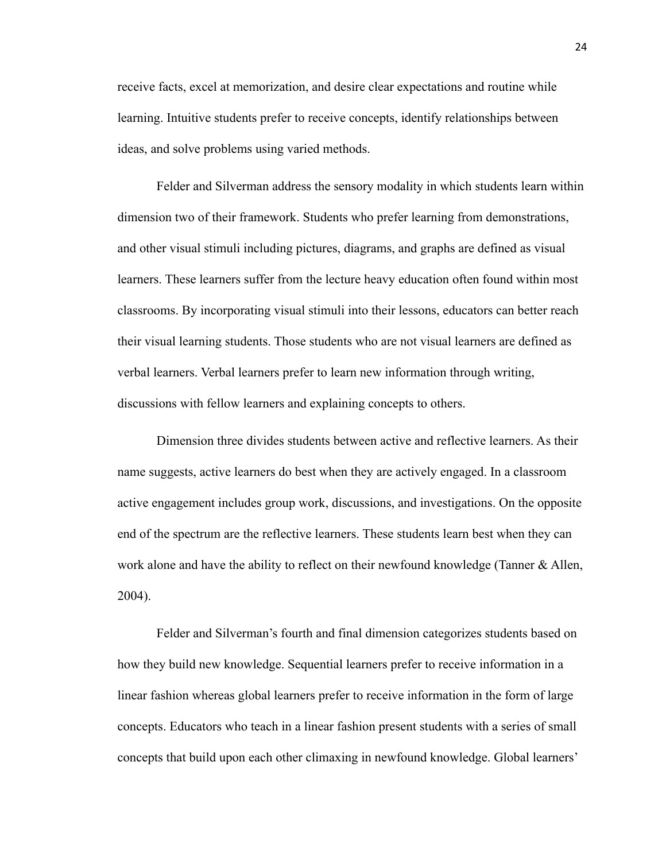receive facts, excel at memorization, and desire clear expectations and routine while learning. Intuitive students prefer to receive concepts, identify relationships between ideas, and solve problems using varied methods.

Felder and Silverman address the sensory modality in which students learn within dimension two of their framework. Students who prefer learning from demonstrations, and other visual stimuli including pictures, diagrams, and graphs are defined as visual learners. These learners suffer from the lecture heavy education often found within most classrooms. By incorporating visual stimuli into their lessons, educators can better reach their visual learning students. Those students who are not visual learners are defined as verbal learners. Verbal learners prefer to learn new information through writing, discussions with fellow learners and explaining concepts to others.

Dimension three divides students between active and reflective learners. As their name suggests, active learners do best when they are actively engaged. In a classroom active engagement includes group work, discussions, and investigations. On the opposite end of the spectrum are the reflective learners. These students learn best when they can work alone and have the ability to reflect on their newfound knowledge (Tanner & Allen, 2004).

Felder and Silverman's fourth and final dimension categorizes students based on how they build new knowledge. Sequential learners prefer to receive information in a linear fashion whereas global learners prefer to receive information in the form of large concepts. Educators who teach in a linear fashion present students with a series of small concepts that build upon each other climaxing in newfound knowledge. Global learners'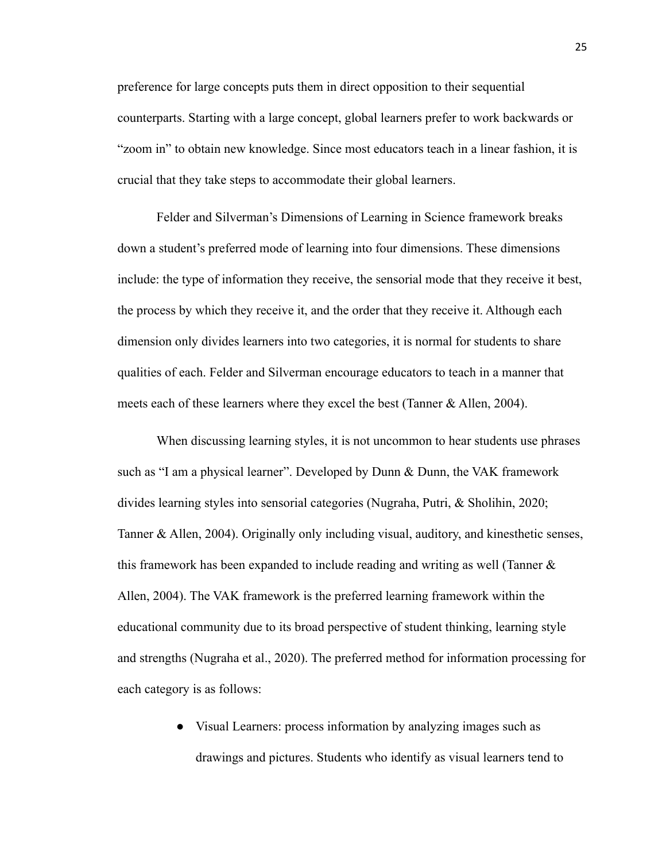preference for large concepts puts them in direct opposition to their sequential counterparts. Starting with a large concept, global learners prefer to work backwards or "zoom in" to obtain new knowledge. Since most educators teach in a linear fashion, it is crucial that they take steps to accommodate their global learners.

Felder and Silverman's Dimensions of Learning in Science framework breaks down a student's preferred mode of learning into four dimensions. These dimensions include: the type of information they receive, the sensorial mode that they receive it best, the process by which they receive it, and the order that they receive it. Although each dimension only divides learners into two categories, it is normal for students to share qualities of each. Felder and Silverman encourage educators to teach in a manner that meets each of these learners where they excel the best (Tanner & Allen, 2004).

When discussing learning styles, it is not uncommon to hear students use phrases such as "I am a physical learner". Developed by Dunn & Dunn, the VAK framework divides learning styles into sensorial categories (Nugraha, Putri, & Sholihin, 2020; Tanner & Allen, 2004). Originally only including visual, auditory, and kinesthetic senses, this framework has been expanded to include reading and writing as well (Tanner  $\&$ Allen, 2004). The VAK framework is the preferred learning framework within the educational community due to its broad perspective of student thinking, learning style and strengths (Nugraha et al., 2020). The preferred method for information processing for each category is as follows:

> ● Visual Learners: process information by analyzing images such as drawings and pictures. Students who identify as visual learners tend to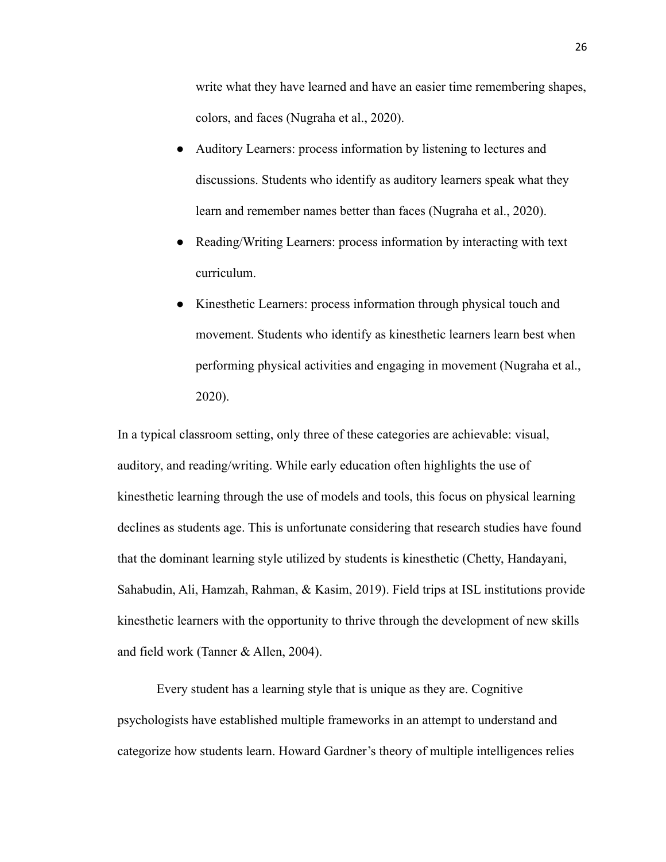write what they have learned and have an easier time remembering shapes, colors, and faces (Nugraha et al., 2020).

- Auditory Learners: process information by listening to lectures and discussions. Students who identify as auditory learners speak what they learn and remember names better than faces (Nugraha et al., 2020).
- Reading/Writing Learners: process information by interacting with text curriculum.
- Kinesthetic Learners: process information through physical touch and movement. Students who identify as kinesthetic learners learn best when performing physical activities and engaging in movement (Nugraha et al., 2020).

In a typical classroom setting, only three of these categories are achievable: visual, auditory, and reading/writing. While early education often highlights the use of kinesthetic learning through the use of models and tools, this focus on physical learning declines as students age. This is unfortunate considering that research studies have found that the dominant learning style utilized by students is kinesthetic (Chetty, Handayani, Sahabudin, Ali, Hamzah, Rahman, & Kasim, 2019). Field trips at ISL institutions provide kinesthetic learners with the opportunity to thrive through the development of new skills and field work (Tanner & Allen, 2004).

Every student has a learning style that is unique as they are. Cognitive psychologists have established multiple frameworks in an attempt to understand and categorize how students learn. Howard Gardner's theory of multiple intelligences relies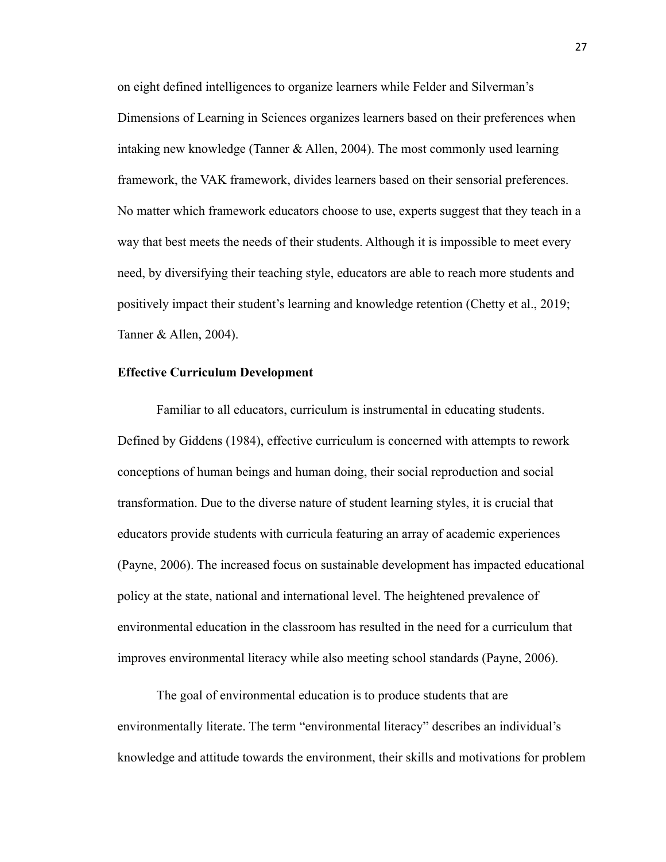on eight defined intelligences to organize learners while Felder and Silverman's Dimensions of Learning in Sciences organizes learners based on their preferences when intaking new knowledge (Tanner & Allen, 2004). The most commonly used learning framework, the VAK framework, divides learners based on their sensorial preferences. No matter which framework educators choose to use, experts suggest that they teach in a way that best meets the needs of their students. Although it is impossible to meet every need, by diversifying their teaching style, educators are able to reach more students and positively impact their student's learning and knowledge retention (Chetty et al., 2019; Tanner & Allen, 2004).

#### **Effective Curriculum Development**

Familiar to all educators, curriculum is instrumental in educating students. Defined by Giddens (1984), effective curriculum is concerned with attempts to rework conceptions of human beings and human doing, their social reproduction and social transformation. Due to the diverse nature of student learning styles, it is crucial that educators provide students with curricula featuring an array of academic experiences (Payne, 2006). The increased focus on sustainable development has impacted educational policy at the state, national and international level. The heightened prevalence of environmental education in the classroom has resulted in the need for a curriculum that improves environmental literacy while also meeting school standards (Payne, 2006).

The goal of environmental education is to produce students that are environmentally literate. The term "environmental literacy" describes an individual's knowledge and attitude towards the environment, their skills and motivations for problem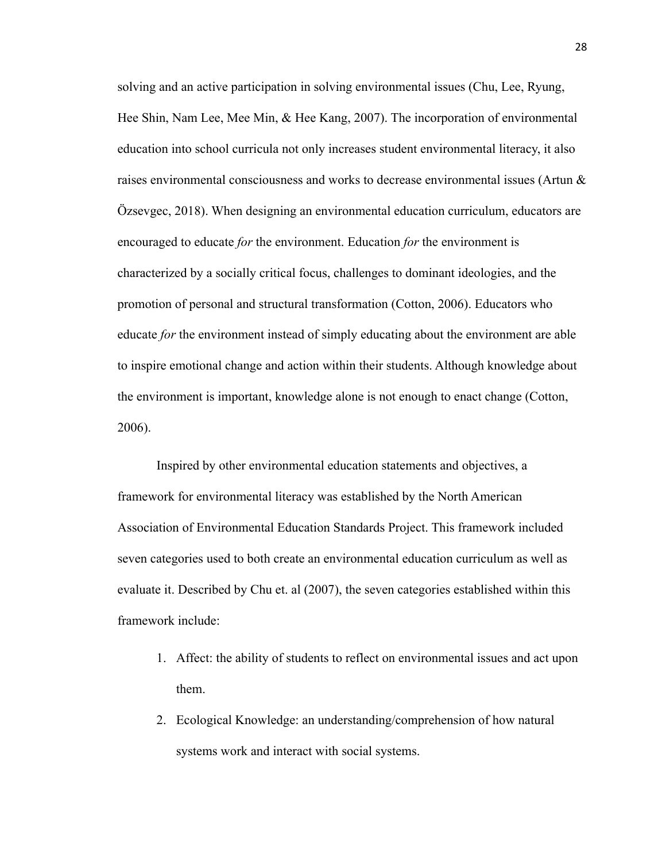solving and an active participation in solving environmental issues (Chu, Lee, Ryung, Hee Shin, Nam Lee, Mee Min, & Hee Kang, 2007). The incorporation of environmental education into school curricula not only increases student environmental literacy, it also raises environmental consciousness and works to decrease environmental issues (Artun & Özsevgec, 2018). When designing an environmental education curriculum, educators are encouraged to educate *for* the environment. Education *for* the environment is characterized by a socially critical focus, challenges to dominant ideologies, and the promotion of personal and structural transformation (Cotton, 2006). Educators who educate *for* the environment instead of simply educating about the environment are able to inspire emotional change and action within their students. Although knowledge about the environment is important, knowledge alone is not enough to enact change (Cotton, 2006).

Inspired by other environmental education statements and objectives, a framework for environmental literacy was established by the North American Association of Environmental Education Standards Project. This framework included seven categories used to both create an environmental education curriculum as well as evaluate it. Described by Chu et. al (2007), the seven categories established within this framework include:

- 1. Affect: the ability of students to reflect on environmental issues and act upon them.
- 2. Ecological Knowledge: an understanding/comprehension of how natural systems work and interact with social systems.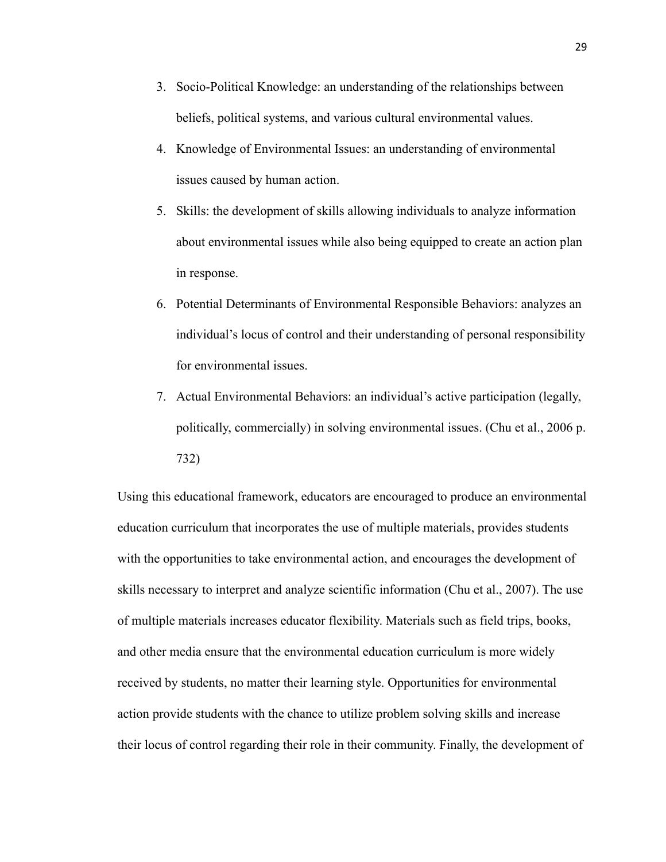- 3. Socio-Political Knowledge: an understanding of the relationships between beliefs, political systems, and various cultural environmental values.
- 4. Knowledge of Environmental Issues: an understanding of environmental issues caused by human action.
- 5. Skills: the development of skills allowing individuals to analyze information about environmental issues while also being equipped to create an action plan in response.
- 6. Potential Determinants of Environmental Responsible Behaviors: analyzes an individual's locus of control and their understanding of personal responsibility for environmental issues.
- 7. Actual Environmental Behaviors: an individual's active participation (legally, politically, commercially) in solving environmental issues. (Chu et al., 2006 p. 732)

Using this educational framework, educators are encouraged to produce an environmental education curriculum that incorporates the use of multiple materials, provides students with the opportunities to take environmental action, and encourages the development of skills necessary to interpret and analyze scientific information (Chu et al., 2007). The use of multiple materials increases educator flexibility. Materials such as field trips, books, and other media ensure that the environmental education curriculum is more widely received by students, no matter their learning style. Opportunities for environmental action provide students with the chance to utilize problem solving skills and increase their locus of control regarding their role in their community. Finally, the development of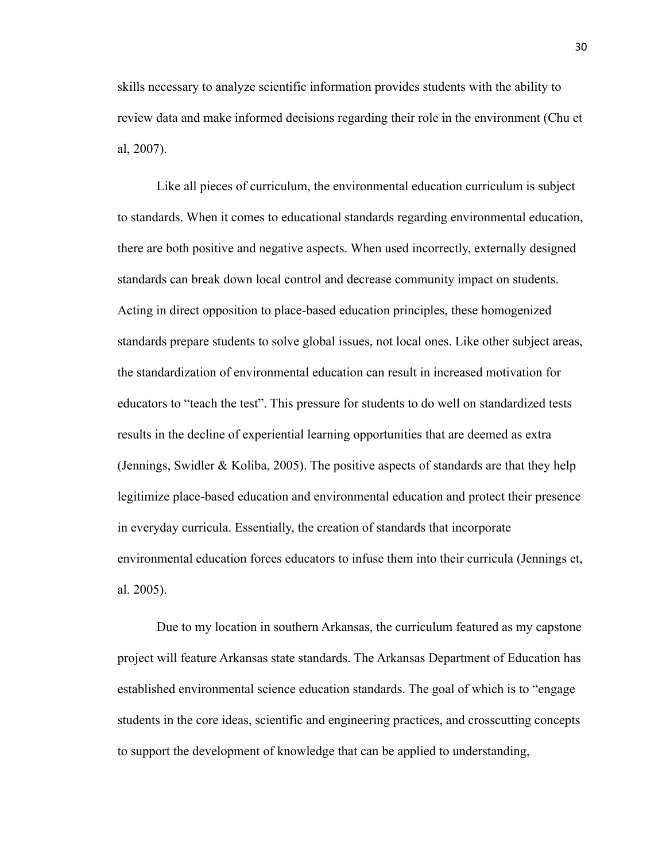skills necessary to analyze scientific information provides students with the ability to review data and make informed decisions regarding their role in the environment (Chu et al, 2007).

Like all pieces of curriculum, the environmental education curriculum is subject to standards. When it comes to educational standards regarding environmental education, there are both positive and negative aspects. When used incorrectly, externally designed standards can break down local control and decrease community impact on students. Acting in direct opposition to place-based education principles, these homogenized standards prepare students to solve global issues, not local ones. Like other subject areas, the standardization of environmental education can result in increased motivation for educators to "teach the test". This pressure for students to do well on standardized tests results in the decline of experiential learning opportunities that are deemed as extra (Jennings, Swidler & Koliba, 2005). The positive aspects of standards are that they help legitimize place-based education and environmental education and protect their presence in everyday curricula. Essentially, the creation of standards that incorporate environmental education forces educators to infuse them into their curricula (Jennings et, al. 2005).

Due to my location in southern Arkansas, the curriculum featured as my capstone project will feature Arkansas state standards. The Arkansas Department of Education has established environmental science education standards. The goal of which is to "engage students in the core ideas, scientific and engineering practices, and crosscutting concepts to support the development of knowledge that can be applied to understanding,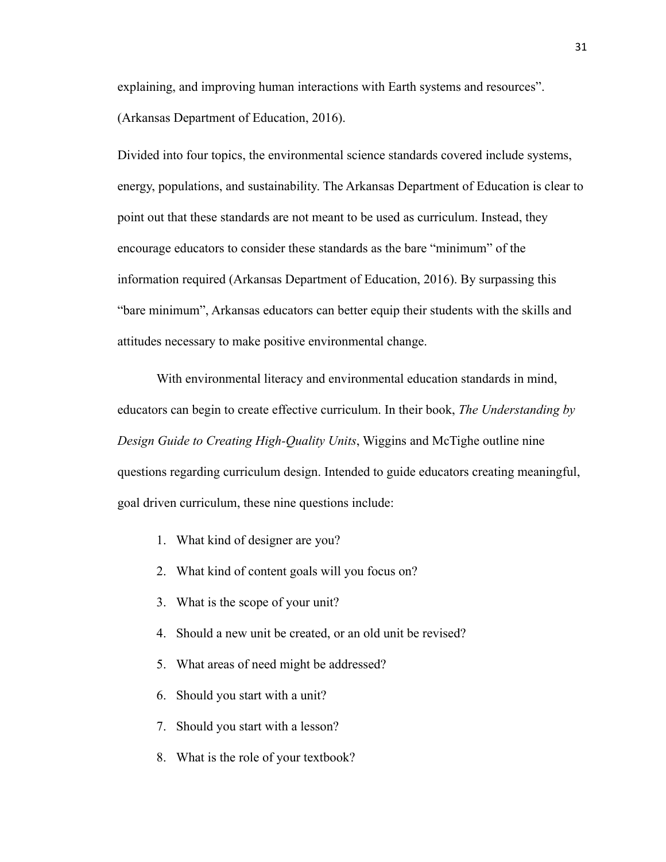explaining, and improving human interactions with Earth systems and resources". (Arkansas Department of Education, 2016).

Divided into four topics, the environmental science standards covered include systems, energy, populations, and sustainability. The Arkansas Department of Education is clear to point out that these standards are not meant to be used as curriculum. Instead, they encourage educators to consider these standards as the bare "minimum" of the information required (Arkansas Department of Education, 2016). By surpassing this "bare minimum", Arkansas educators can better equip their students with the skills and attitudes necessary to make positive environmental change.

With environmental literacy and environmental education standards in mind, educators can begin to create effective curriculum. In their book, *The Understanding by Design Guide to Creating High-Quality Units*, Wiggins and McTighe outline nine questions regarding curriculum design. Intended to guide educators creating meaningful, goal driven curriculum, these nine questions include:

- 1. What kind of designer are you?
- 2. What kind of content goals will you focus on?
- 3. What is the scope of your unit?
- 4. Should a new unit be created, or an old unit be revised?
- 5. What areas of need might be addressed?
- 6. Should you start with a unit?
- 7. Should you start with a lesson?
- 8. What is the role of your textbook?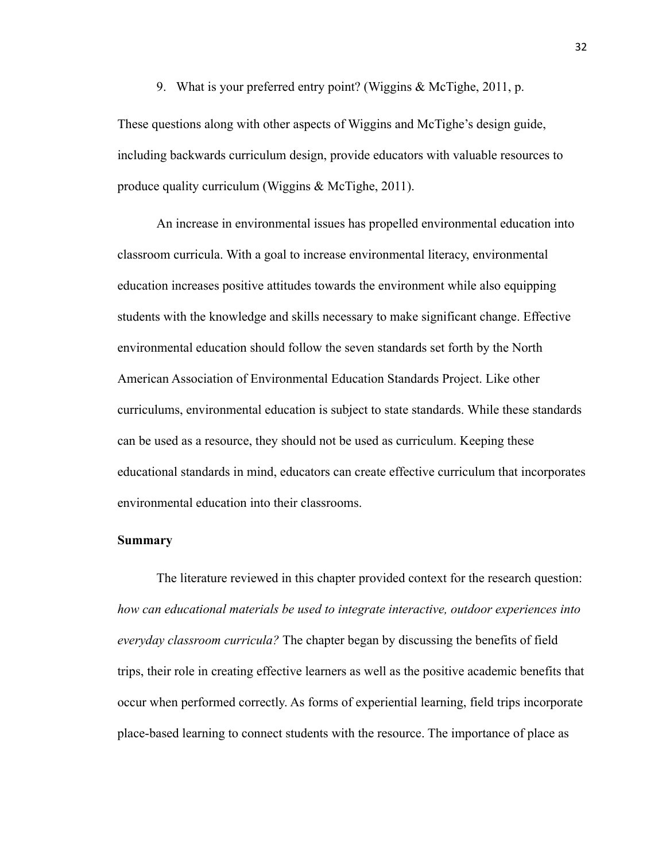9. What is your preferred entry point? (Wiggins & McTighe, 2011, p.

These questions along with other aspects of Wiggins and McTighe's design guide, including backwards curriculum design, provide educators with valuable resources to produce quality curriculum (Wiggins & McTighe, 2011).

An increase in environmental issues has propelled environmental education into classroom curricula. With a goal to increase environmental literacy, environmental education increases positive attitudes towards the environment while also equipping students with the knowledge and skills necessary to make significant change. Effective environmental education should follow the seven standards set forth by the North American Association of Environmental Education Standards Project. Like other curriculums, environmental education is subject to state standards. While these standards can be used as a resource, they should not be used as curriculum. Keeping these educational standards in mind, educators can create effective curriculum that incorporates environmental education into their classrooms.

#### **Summary**

The literature reviewed in this chapter provided context for the research question: *how can educational materials be used to integrate interactive, outdoor experiences into everyday classroom curricula?* The chapter began by discussing the benefits of field trips, their role in creating effective learners as well as the positive academic benefits that occur when performed correctly. As forms of experiential learning, field trips incorporate place-based learning to connect students with the resource. The importance of place as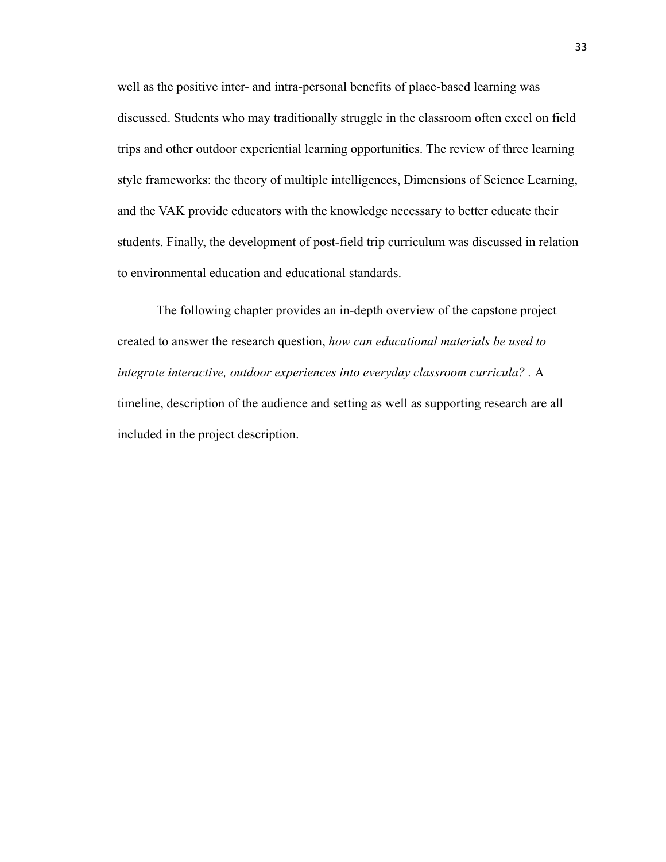well as the positive inter- and intra-personal benefits of place-based learning was discussed. Students who may traditionally struggle in the classroom often excel on field trips and other outdoor experiential learning opportunities. The review of three learning style frameworks: the theory of multiple intelligences, Dimensions of Science Learning, and the VAK provide educators with the knowledge necessary to better educate their students. Finally, the development of post-field trip curriculum was discussed in relation to environmental education and educational standards.

The following chapter provides an in-depth overview of the capstone project created to answer the research question, *how can educational materials be used to integrate interactive, outdoor experiences into everyday classroom curricula? .* A timeline, description of the audience and setting as well as supporting research are all included in the project description.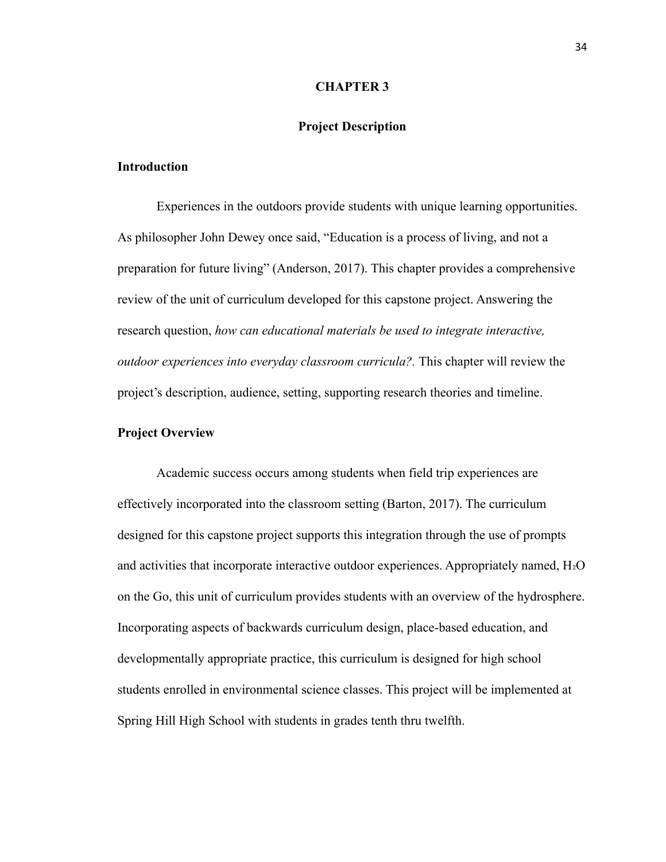#### **CHAPTER 3**

### **Project Description**

#### **Introduction**

Experiences in the outdoors provide students with unique learning opportunities. As philosopher John Dewey once said, "Education is a process of living, and not a preparation for future living" (Anderson, 2017). This chapter provides a comprehensive review of the unit of curriculum developed for this capstone project. Answering the research question, *how can educational materials be used to integrate interactive, outdoor experiences into everyday classroom curricula?.* This chapter will review the project's description, audience, setting, supporting research theories and timeline.

# **Project Overview**

Academic success occurs among students when field trip experiences are effectively incorporated into the classroom setting (Barton, 2017). The curriculum designed for this capstone project supports this integration through the use of prompts and activities that incorporate interactive outdoor experiences. Appropriately named,  $H_2O$ on the Go, this unit of curriculum provides students with an overview of the hydrosphere. Incorporating aspects of backwards curriculum design, place-based education, and developmentally appropriate practice, this curriculum is designed for high school students enrolled in environmental science classes. This project will be implemented at Spring Hill High School with students in grades tenth thru twelfth.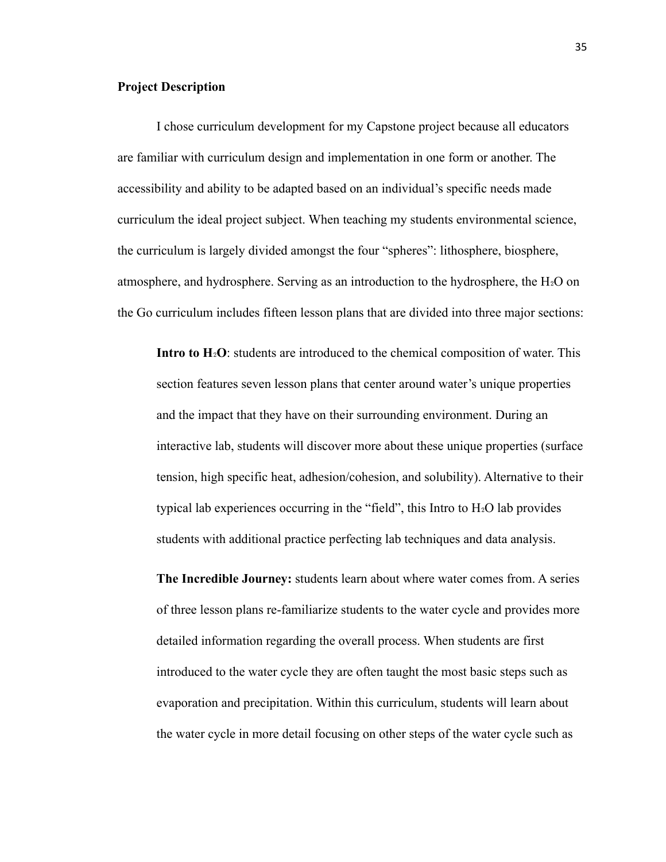# **Project Description**

I chose curriculum development for my Capstone project because all educators are familiar with curriculum design and implementation in one form or another. The accessibility and ability to be adapted based on an individual's specific needs made curriculum the ideal project subject. When teaching my students environmental science, the curriculum is largely divided amongst the four "spheres": lithosphere, biosphere, atmosphere, and hydrosphere. Serving as an introduction to the hydrosphere, the  $H_2O$  on the Go curriculum includes fifteen lesson plans that are divided into three major sections:

**Intro to H**<sup>2</sup>O: students are introduced to the chemical composition of water. This section features seven lesson plans that center around water's unique properties and the impact that they have on their surrounding environment. During an interactive lab, students will discover more about these unique properties (surface tension, high specific heat, adhesion/cohesion, and solubility). Alternative to their typical lab experiences occurring in the "field", this Intro to  $H_2O$  lab provides students with additional practice perfecting lab techniques and data analysis.

**The Incredible Journey:** students learn about where water comes from. A series of three lesson plans re-familiarize students to the water cycle and provides more detailed information regarding the overall process. When students are first introduced to the water cycle they are often taught the most basic steps such as evaporation and precipitation. Within this curriculum, students will learn about the water cycle in more detail focusing on other steps of the water cycle such as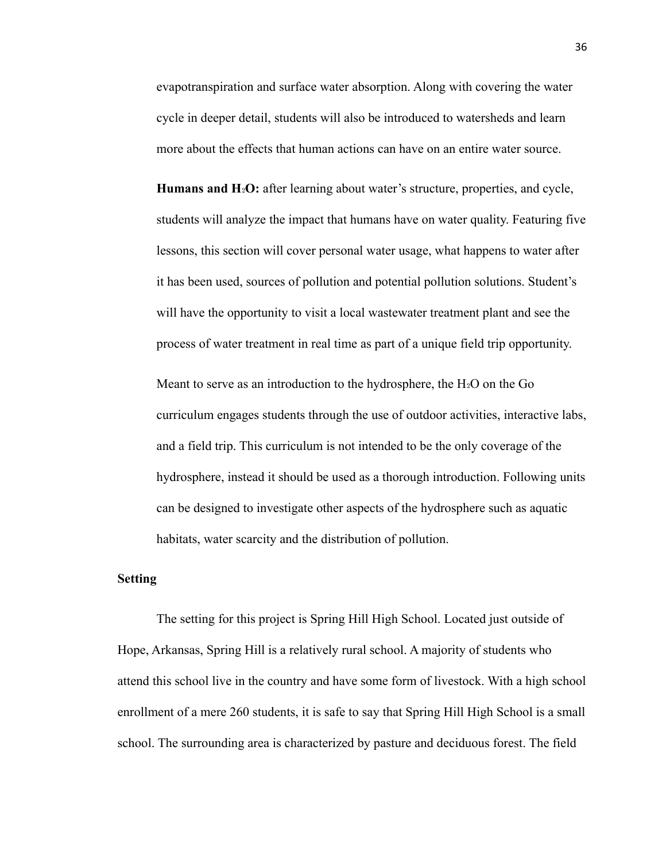evapotranspiration and surface water absorption. Along with covering the water cycle in deeper detail, students will also be introduced to watersheds and learn more about the effects that human actions can have on an entire water source.

**Humans and H<sub>2</sub>O:** after learning about water's structure, properties, and cycle, students will analyze the impact that humans have on water quality. Featuring five lessons, this section will cover personal water usage, what happens to water after it has been used, sources of pollution and potential pollution solutions. Student's will have the opportunity to visit a local wastewater treatment plant and see the process of water treatment in real time as part of a unique field trip opportunity.

Meant to serve as an introduction to the hydrosphere, the  $H_2O$  on the Go curriculum engages students through the use of outdoor activities, interactive labs, and a field trip. This curriculum is not intended to be the only coverage of the hydrosphere, instead it should be used as a thorough introduction. Following units can be designed to investigate other aspects of the hydrosphere such as aquatic habitats, water scarcity and the distribution of pollution.

#### **Setting**

The setting for this project is Spring Hill High School. Located just outside of Hope, Arkansas, Spring Hill is a relatively rural school. A majority of students who attend this school live in the country and have some form of livestock. With a high school enrollment of a mere 260 students, it is safe to say that Spring Hill High School is a small school. The surrounding area is characterized by pasture and deciduous forest. The field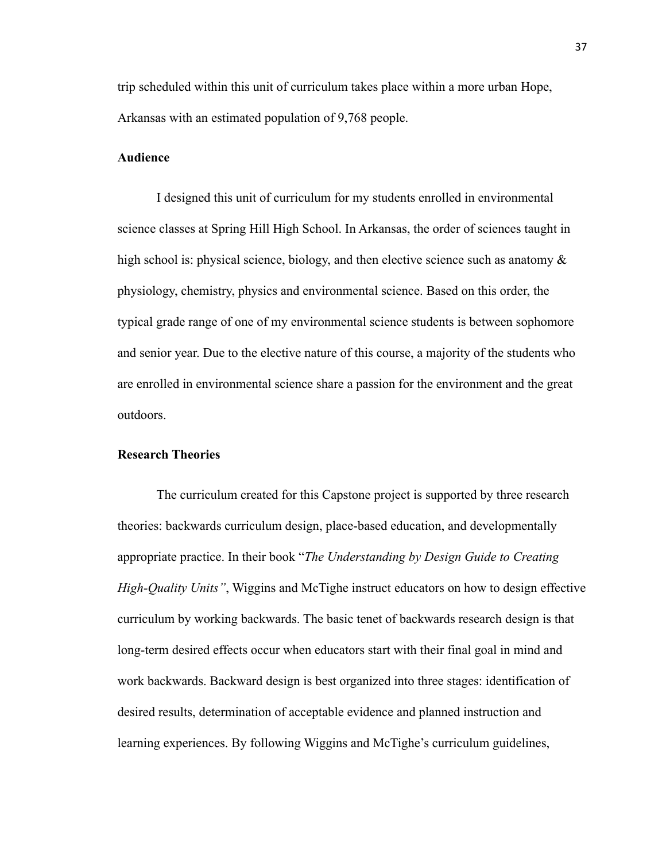trip scheduled within this unit of curriculum takes place within a more urban Hope, Arkansas with an estimated population of 9,768 people.

#### **Audience**

I designed this unit of curriculum for my students enrolled in environmental science classes at Spring Hill High School. In Arkansas, the order of sciences taught in high school is: physical science, biology, and then elective science such as anatomy  $\&$ physiology, chemistry, physics and environmental science. Based on this order, the typical grade range of one of my environmental science students is between sophomore and senior year. Due to the elective nature of this course, a majority of the students who are enrolled in environmental science share a passion for the environment and the great outdoors.

# **Research Theories**

The curriculum created for this Capstone project is supported by three research theories: backwards curriculum design, place-based education, and developmentally appropriate practice. In their book "*The Understanding by Design Guide to Creating High-Quality Units"*, Wiggins and McTighe instruct educators on how to design effective curriculum by working backwards. The basic tenet of backwards research design is that long-term desired effects occur when educators start with their final goal in mind and work backwards. Backward design is best organized into three stages: identification of desired results, determination of acceptable evidence and planned instruction and learning experiences. By following Wiggins and McTighe's curriculum guidelines,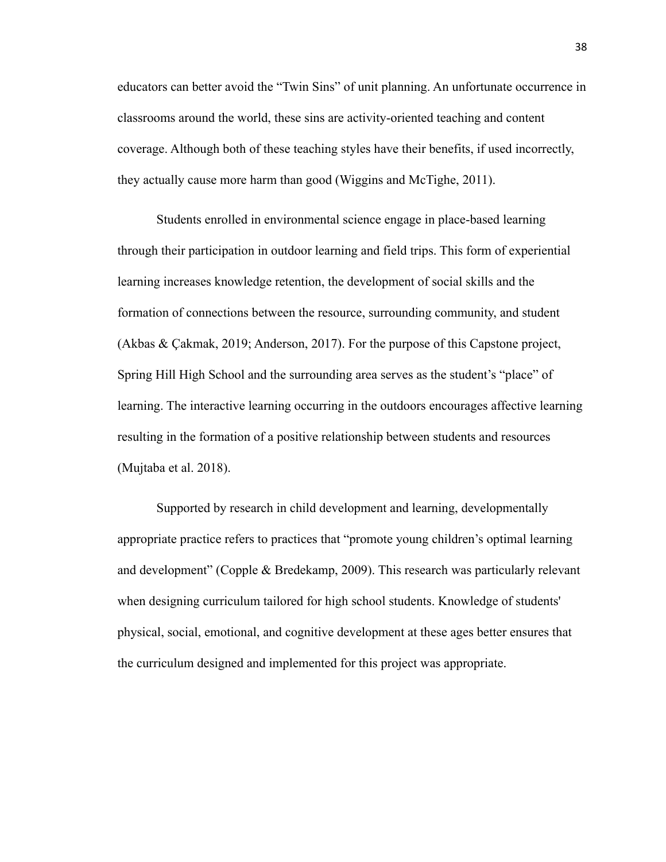educators can better avoid the "Twin Sins" of unit planning. An unfortunate occurrence in classrooms around the world, these sins are activity-oriented teaching and content coverage. Although both of these teaching styles have their benefits, if used incorrectly, they actually cause more harm than good (Wiggins and McTighe, 2011).

Students enrolled in environmental science engage in place-based learning through their participation in outdoor learning and field trips. This form of experiential learning increases knowledge retention, the development of social skills and the formation of connections between the resource, surrounding community, and student (Akbas & Çakmak, 2019; Anderson, 2017). For the purpose of this Capstone project, Spring Hill High School and the surrounding area serves as the student's "place" of learning. The interactive learning occurring in the outdoors encourages affective learning resulting in the formation of a positive relationship between students and resources (Mujtaba et al. 2018).

Supported by research in child development and learning, developmentally appropriate practice refers to practices that "promote young children's optimal learning and development" (Copple & Bredekamp, 2009). This research was particularly relevant when designing curriculum tailored for high school students. Knowledge of students' physical, social, emotional, and cognitive development at these ages better ensures that the curriculum designed and implemented for this project was appropriate.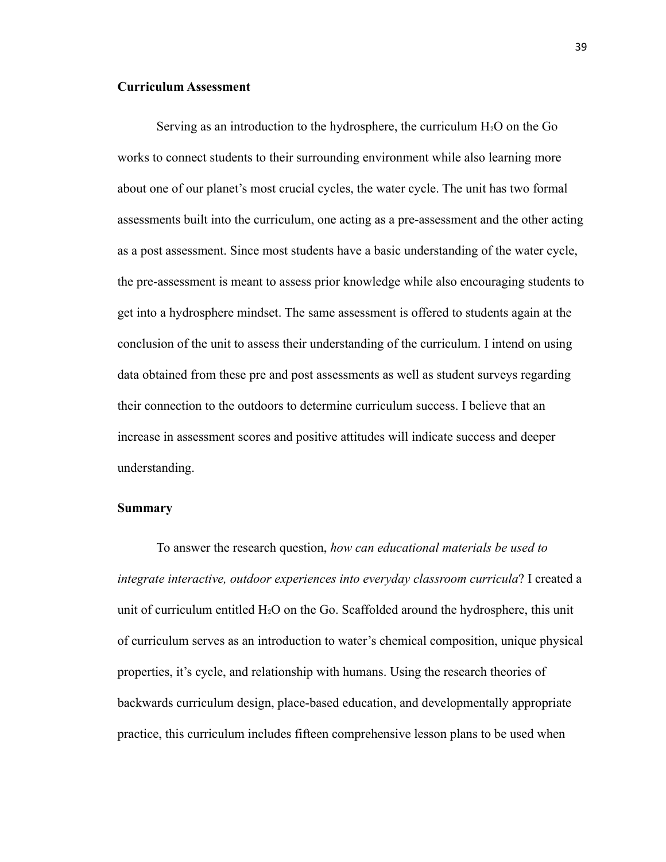# **Curriculum Assessment**

Serving as an introduction to the hydrosphere, the curriculum  $H_2O$  on the Go works to connect students to their surrounding environment while also learning more about one of our planet's most crucial cycles, the water cycle. The unit has two formal assessments built into the curriculum, one acting as a pre-assessment and the other acting as a post assessment. Since most students have a basic understanding of the water cycle, the pre-assessment is meant to assess prior knowledge while also encouraging students to get into a hydrosphere mindset. The same assessment is offered to students again at the conclusion of the unit to assess their understanding of the curriculum. I intend on using data obtained from these pre and post assessments as well as student surveys regarding their connection to the outdoors to determine curriculum success. I believe that an increase in assessment scores and positive attitudes will indicate success and deeper understanding.

#### **Summary**

To answer the research question, *how can educational materials be used to integrate interactive, outdoor experiences into everyday classroom curricula*? I created a unit of curriculum entitled  $H_2O$  on the Go. Scaffolded around the hydrosphere, this unit of curriculum serves as an introduction to water's chemical composition, unique physical properties, it's cycle, and relationship with humans. Using the research theories of backwards curriculum design, place-based education, and developmentally appropriate practice, this curriculum includes fifteen comprehensive lesson plans to be used when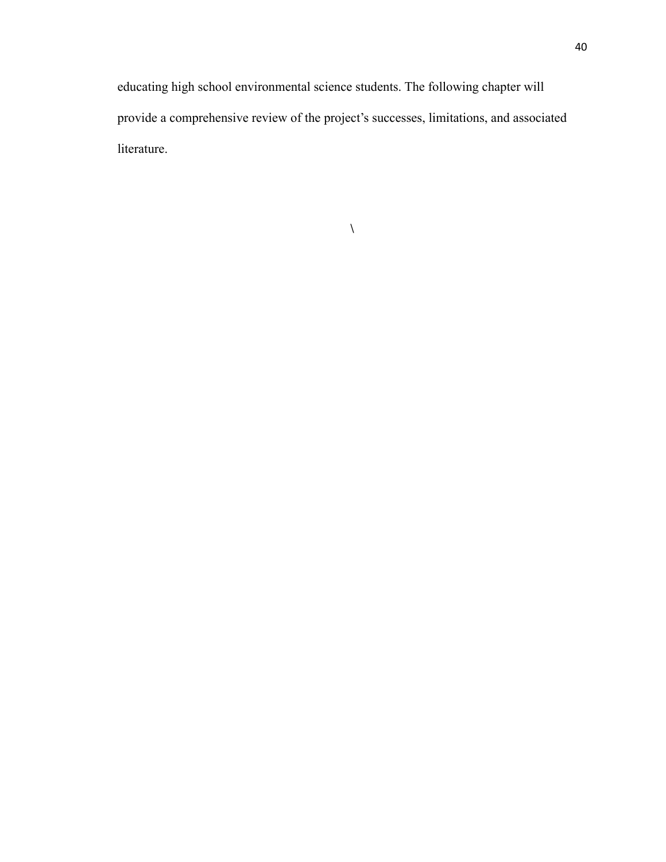educating high school environmental science students. The following chapter will provide a comprehensive review of the project's successes, limitations, and associated literature.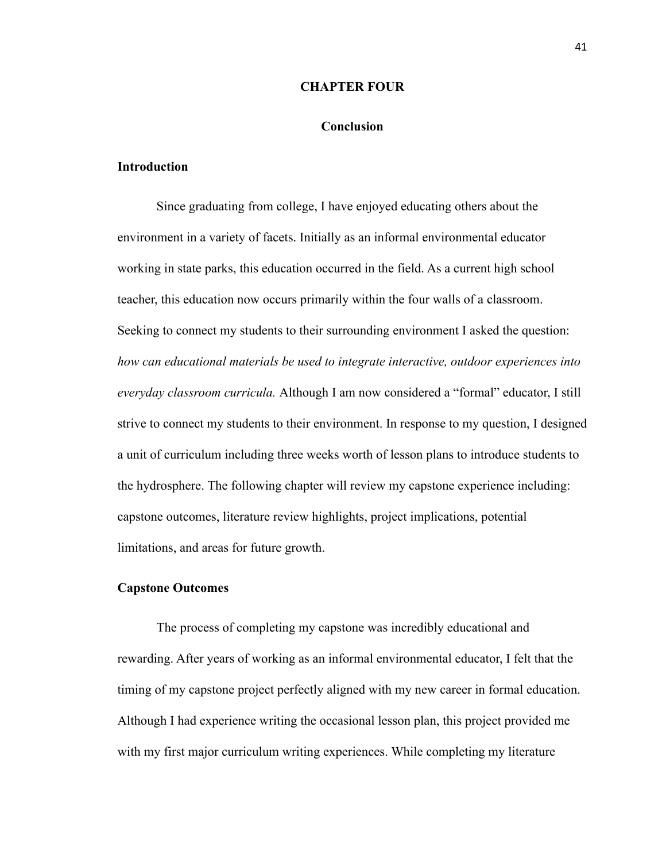#### **CHAPTER FOUR**

## **Conclusion**

#### **Introduction**

Since graduating from college, I have enjoyed educating others about the environment in a variety of facets. Initially as an informal environmental educator working in state parks, this education occurred in the field. As a current high school teacher, this education now occurs primarily within the four walls of a classroom. Seeking to connect my students to their surrounding environment I asked the question: *how can educational materials be used to integrate interactive, outdoor experiences into everyday classroom curricula.* Although I am now considered a "formal" educator, I still strive to connect my students to their environment. In response to my question, I designed a unit of curriculum including three weeks worth of lesson plans to introduce students to the hydrosphere. The following chapter will review my capstone experience including: capstone outcomes, literature review highlights, project implications, potential limitations, and areas for future growth.

#### **Capstone Outcomes**

The process of completing my capstone was incredibly educational and rewarding. After years of working as an informal environmental educator, I felt that the timing of my capstone project perfectly aligned with my new career in formal education. Although I had experience writing the occasional lesson plan, this project provided me with my first major curriculum writing experiences. While completing my literature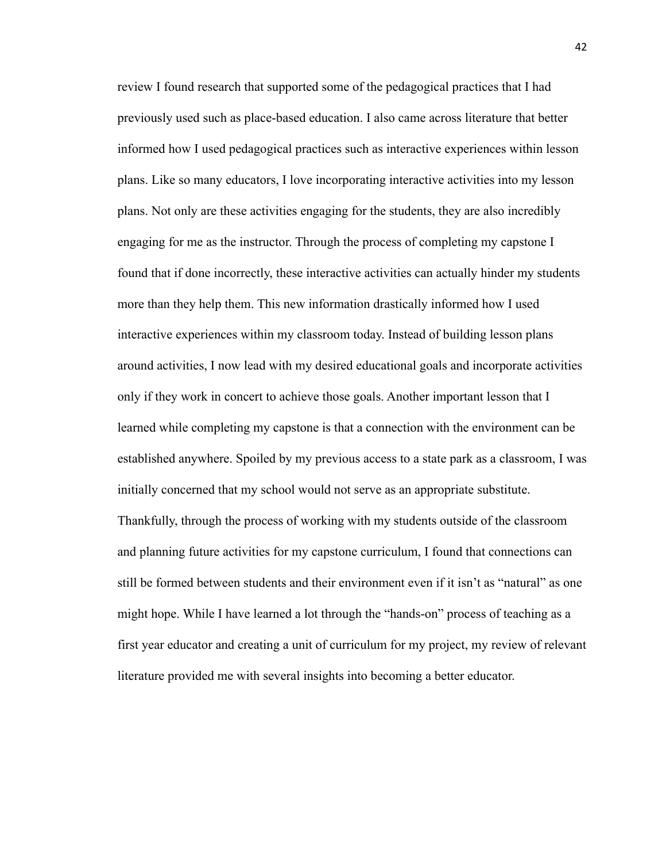review I found research that supported some of the pedagogical practices that I had previously used such as place-based education. I also came across literature that better informed how I used pedagogical practices such as interactive experiences within lesson plans. Like so many educators, I love incorporating interactive activities into my lesson plans. Not only are these activities engaging for the students, they are also incredibly engaging for me as the instructor. Through the process of completing my capstone I found that if done incorrectly, these interactive activities can actually hinder my students more than they help them. This new information drastically informed how I used interactive experiences within my classroom today. Instead of building lesson plans around activities, I now lead with my desired educational goals and incorporate activities only if they work in concert to achieve those goals. Another important lesson that I learned while completing my capstone is that a connection with the environment can be established anywhere. Spoiled by my previous access to a state park as a classroom, I was initially concerned that my school would not serve as an appropriate substitute. Thankfully, through the process of working with my students outside of the classroom and planning future activities for my capstone curriculum, I found that connections can still be formed between students and their environment even if it isn't as "natural" as one might hope. While I have learned a lot through the "hands-on" process of teaching as a first year educator and creating a unit of curriculum for my project, my review of relevant literature provided me with several insights into becoming a better educator.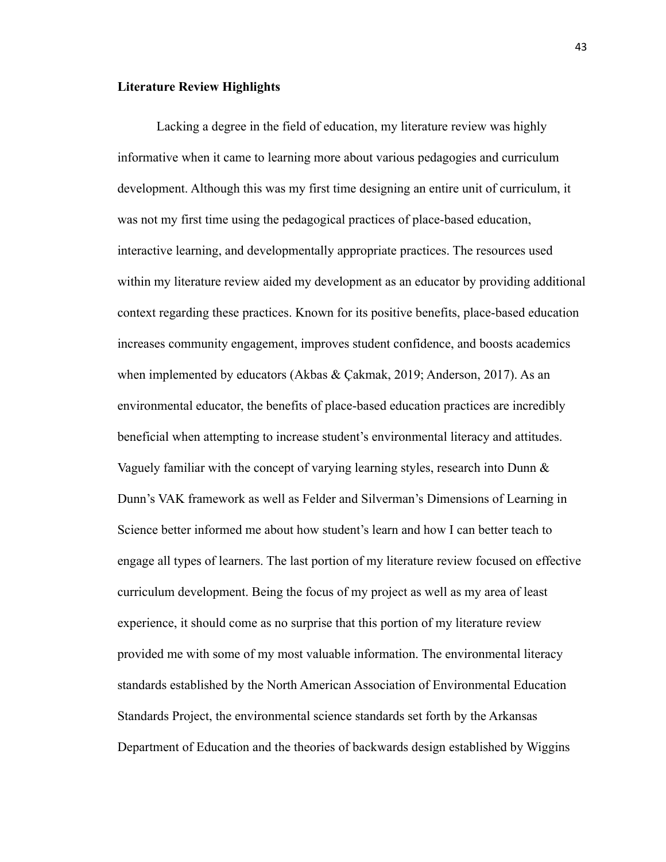#### **Literature Review Highlights**

Lacking a degree in the field of education, my literature review was highly informative when it came to learning more about various pedagogies and curriculum development. Although this was my first time designing an entire unit of curriculum, it was not my first time using the pedagogical practices of place-based education, interactive learning, and developmentally appropriate practices. The resources used within my literature review aided my development as an educator by providing additional context regarding these practices. Known for its positive benefits, place-based education increases community engagement, improves student confidence, and boosts academics when implemented by educators (Akbas & Çakmak, 2019; Anderson, 2017). As an environmental educator, the benefits of place-based education practices are incredibly beneficial when attempting to increase student's environmental literacy and attitudes. Vaguely familiar with the concept of varying learning styles, research into Dunn  $\&$ Dunn's VAK framework as well as Felder and Silverman's Dimensions of Learning in Science better informed me about how student's learn and how I can better teach to engage all types of learners. The last portion of my literature review focused on effective curriculum development. Being the focus of my project as well as my area of least experience, it should come as no surprise that this portion of my literature review provided me with some of my most valuable information. The environmental literacy standards established by the North American Association of Environmental Education Standards Project, the environmental science standards set forth by the Arkansas Department of Education and the theories of backwards design established by Wiggins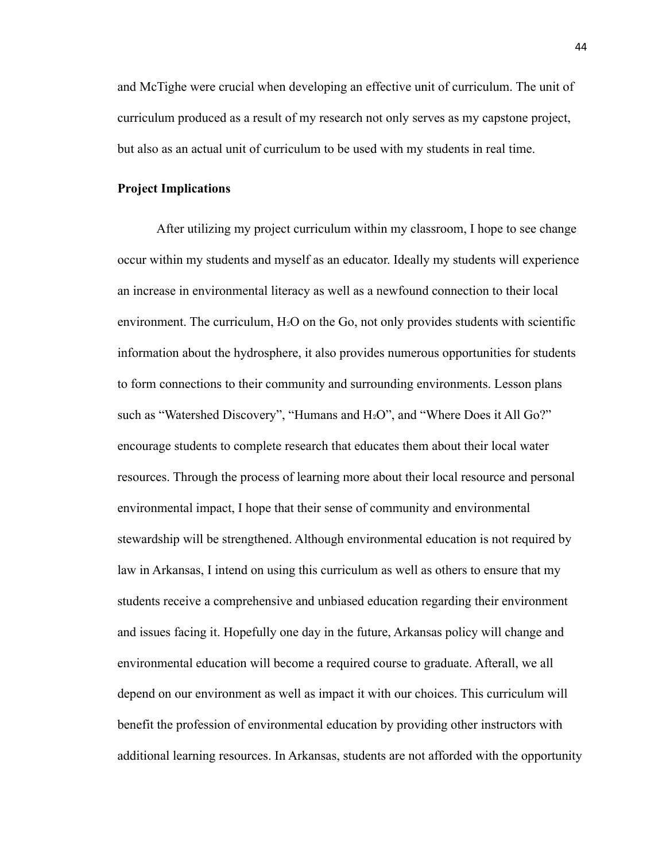and McTighe were crucial when developing an effective unit of curriculum. The unit of curriculum produced as a result of my research not only serves as my capstone project, but also as an actual unit of curriculum to be used with my students in real time.

### **Project Implications**

After utilizing my project curriculum within my classroom, I hope to see change occur within my students and myself as an educator. Ideally my students will experience an increase in environmental literacy as well as a newfound connection to their local environment. The curriculum,  $H_2O$  on the Go, not only provides students with scientific information about the hydrosphere, it also provides numerous opportunities for students to form connections to their community and surrounding environments. Lesson plans such as "Watershed Discovery", "Humans and  $H_2O$ ", and "Where Does it All Go?" encourage students to complete research that educates them about their local water resources. Through the process of learning more about their local resource and personal environmental impact, I hope that their sense of community and environmental stewardship will be strengthened. Although environmental education is not required by law in Arkansas, I intend on using this curriculum as well as others to ensure that my students receive a comprehensive and unbiased education regarding their environment and issues facing it. Hopefully one day in the future, Arkansas policy will change and environmental education will become a required course to graduate. Afterall, we all depend on our environment as well as impact it with our choices. This curriculum will benefit the profession of environmental education by providing other instructors with additional learning resources. In Arkansas, students are not afforded with the opportunity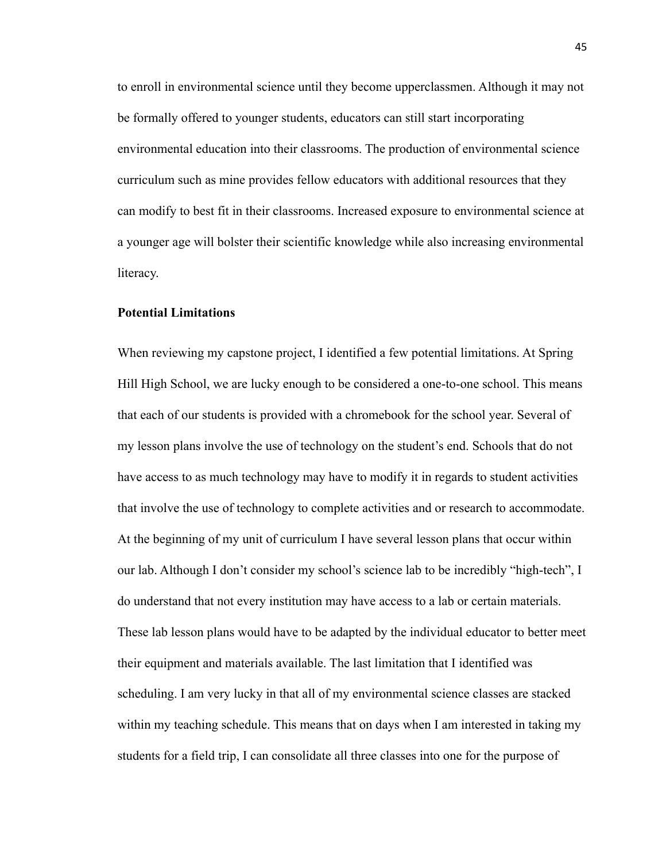to enroll in environmental science until they become upperclassmen. Although it may not be formally offered to younger students, educators can still start incorporating environmental education into their classrooms. The production of environmental science curriculum such as mine provides fellow educators with additional resources that they can modify to best fit in their classrooms. Increased exposure to environmental science at a younger age will bolster their scientific knowledge while also increasing environmental literacy.

#### **Potential Limitations**

When reviewing my capstone project, I identified a few potential limitations. At Spring Hill High School, we are lucky enough to be considered a one-to-one school. This means that each of our students is provided with a chromebook for the school year. Several of my lesson plans involve the use of technology on the student's end. Schools that do not have access to as much technology may have to modify it in regards to student activities that involve the use of technology to complete activities and or research to accommodate. At the beginning of my unit of curriculum I have several lesson plans that occur within our lab. Although I don't consider my school's science lab to be incredibly "high-tech", I do understand that not every institution may have access to a lab or certain materials. These lab lesson plans would have to be adapted by the individual educator to better meet their equipment and materials available. The last limitation that I identified was scheduling. I am very lucky in that all of my environmental science classes are stacked within my teaching schedule. This means that on days when I am interested in taking my students for a field trip, I can consolidate all three classes into one for the purpose of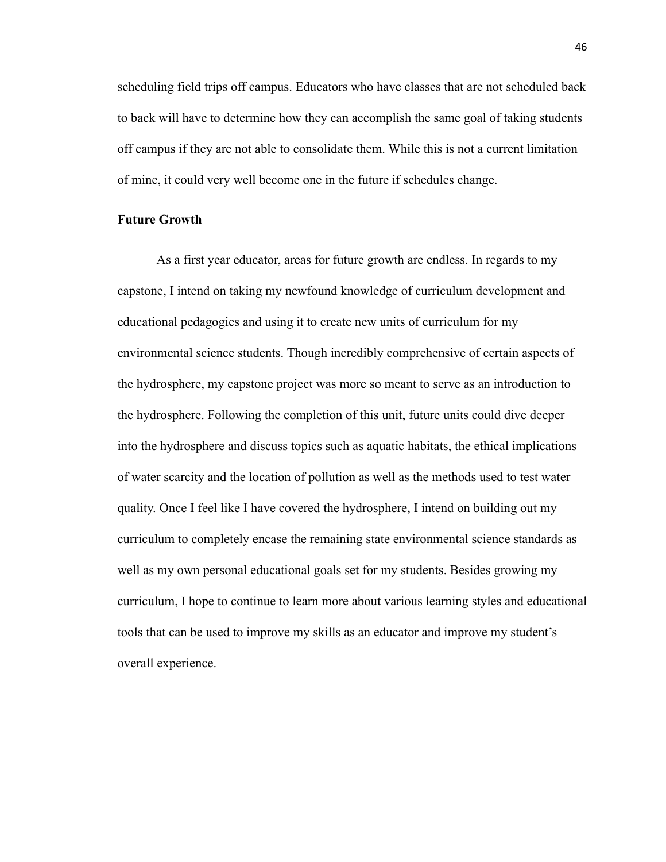scheduling field trips off campus. Educators who have classes that are not scheduled back to back will have to determine how they can accomplish the same goal of taking students off campus if they are not able to consolidate them. While this is not a current limitation of mine, it could very well become one in the future if schedules change.

## **Future Growth**

As a first year educator, areas for future growth are endless. In regards to my capstone, I intend on taking my newfound knowledge of curriculum development and educational pedagogies and using it to create new units of curriculum for my environmental science students. Though incredibly comprehensive of certain aspects of the hydrosphere, my capstone project was more so meant to serve as an introduction to the hydrosphere. Following the completion of this unit, future units could dive deeper into the hydrosphere and discuss topics such as aquatic habitats, the ethical implications of water scarcity and the location of pollution as well as the methods used to test water quality. Once I feel like I have covered the hydrosphere, I intend on building out my curriculum to completely encase the remaining state environmental science standards as well as my own personal educational goals set for my students. Besides growing my curriculum, I hope to continue to learn more about various learning styles and educational tools that can be used to improve my skills as an educator and improve my student's overall experience.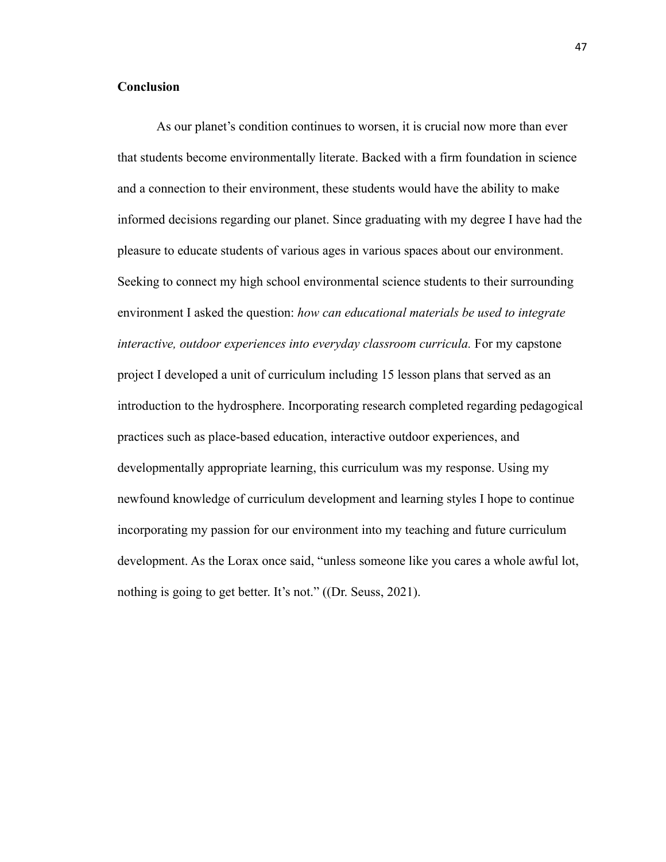# **Conclusion**

As our planet's condition continues to worsen, it is crucial now more than ever that students become environmentally literate. Backed with a firm foundation in science and a connection to their environment, these students would have the ability to make informed decisions regarding our planet. Since graduating with my degree I have had the pleasure to educate students of various ages in various spaces about our environment. Seeking to connect my high school environmental science students to their surrounding environment I asked the question: *how can educational materials be used to integrate interactive, outdoor experiences into everyday classroom curricula.* For my capstone project I developed a unit of curriculum including 15 lesson plans that served as an introduction to the hydrosphere. Incorporating research completed regarding pedagogical practices such as place-based education, interactive outdoor experiences, and developmentally appropriate learning, this curriculum was my response. Using my newfound knowledge of curriculum development and learning styles I hope to continue incorporating my passion for our environment into my teaching and future curriculum development. As the Lorax once said, "unless someone like you cares a whole awful lot, nothing is going to get better. It's not." ((Dr. Seuss, 2021).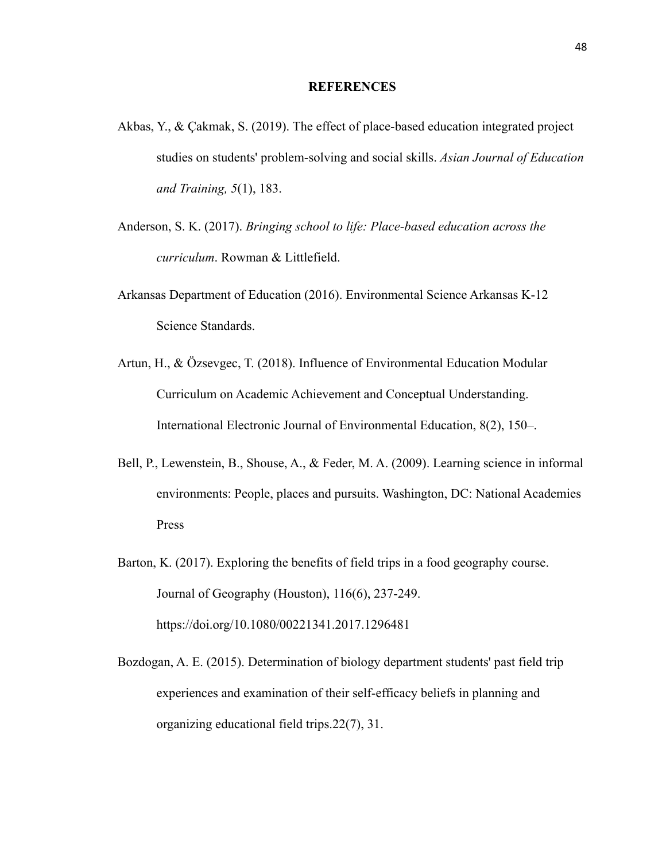#### **REFERENCES**

- Akbas, Y., & Çakmak, S. (2019). The effect of place-based education integrated project studies on students' problem-solving and social skills. *Asian Journal of Education and Training, 5*(1), 183.
- Anderson, S. K. (2017). *Bringing school to life: Place-based education across the curriculum*. Rowman & Littlefield.
- Arkansas Department of Education (2016). Environmental Science Arkansas K-12 Science Standards.
- Artun, H., & Özsevgec, T. (2018). Influence of Environmental Education Modular Curriculum on Academic Achievement and Conceptual Understanding. International Electronic Journal of Environmental Education, 8(2), 150–.
- Bell, P., Lewenstein, B., Shouse, A., & Feder, M. A. (2009). Learning science in informal environments: People, places and pursuits. Washington, DC: National Academies Press
- Barton, K. (2017). Exploring the benefits of field trips in a food geography course. Journal of Geography (Houston), 116(6), 237-249. https://doi.org/10.1080/00221341.2017.1296481
- Bozdogan, A. E. (2015). Determination of biology department students' past field trip experiences and examination of their self-efficacy beliefs in planning and organizing educational field trips.22(7), 31.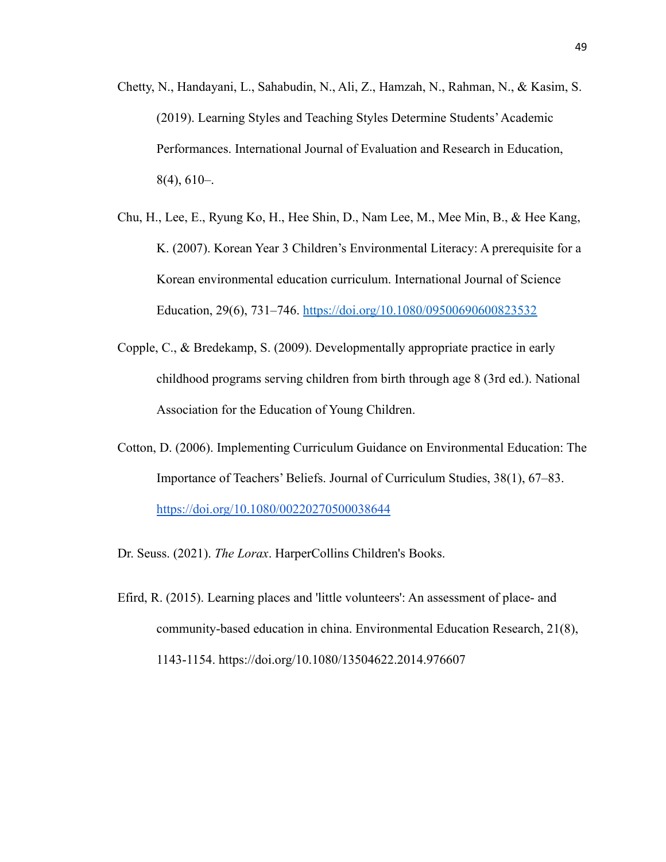- Chetty, N., Handayani, L., Sahabudin, N., Ali, Z., Hamzah, N., Rahman, N., & Kasim, S. (2019). Learning Styles and Teaching Styles Determine Students'Academic Performances. International Journal of Evaluation and Research in Education,  $8(4)$ , 610–.
- Chu, H., Lee, E., Ryung Ko, H., Hee Shin, D., Nam Lee, M., Mee Min, B., & Hee Kang, K. (2007). Korean Year 3 Children's Environmental Literacy: A prerequisite for a Korean environmental education curriculum. International Journal of Science Education, 29(6), 731–746. <https://doi.org/10.1080/09500690600823532>
- Copple, C., & Bredekamp, S. (2009). Developmentally appropriate practice in early childhood programs serving children from birth through age 8 (3rd ed.). National Association for the Education of Young Children.
- Cotton, D. (2006). Implementing Curriculum Guidance on Environmental Education: The Importance of Teachers' Beliefs. Journal of Curriculum Studies, 38(1), 67–83. <https://doi.org/10.1080/00220270500038644>
- Dr. Seuss. (2021). *The Lorax*. HarperCollins Children's Books.
- Efird, R. (2015). Learning places and 'little volunteers': An assessment of place- and community-based education in china. Environmental Education Research, 21(8), 1143-1154. https://doi.org/10.1080/13504622.2014.976607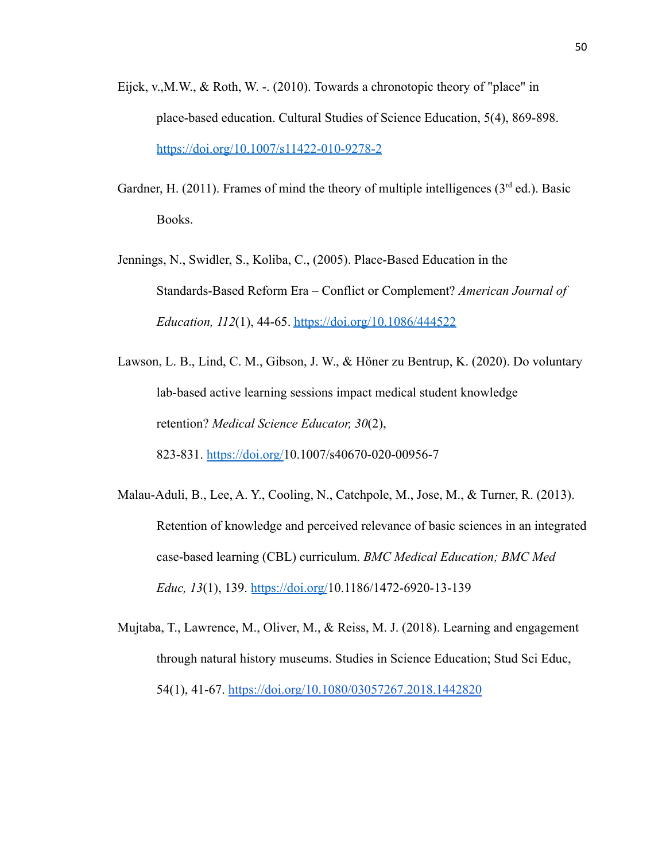- Eijck, v.,M.W., & Roth, W. -. (2010). Towards a chronotopic theory of "place" in place-based education. Cultural Studies of Science Education, 5(4), 869-898. <https://doi.org/10.1007/s11422-010-9278-2>
- Gardner, H. (2011). Frames of mind the theory of multiple intelligences ( $3<sup>rd</sup>$  ed.). Basic Books.
- Jennings, N., Swidler, S., Koliba, C., (2005). Place-Based Education in the Standards-Based Reform Era – Conflict or Complement? *American Journal of Education, 112*(1), 44-65. <https://doi.org/10.1086/444522>
- Lawson, L. B., Lind, C. M., Gibson, J. W., & Höner zu Bentrup, K. (2020). Do voluntary lab-based active learning sessions impact medical student knowledge retention? *Medical Science Educator, 30*(2), 823-831. [https://doi.org/1](https://doi.org/)0.1007/s40670-020-00956-7
- Malau-Aduli, B., Lee, A. Y., Cooling, N., Catchpole, M., Jose, M., & Turner, R. (2013). Retention of knowledge and perceived relevance of basic sciences in an integrated case-based learning (CBL) curriculum. *BMC Medical Education; BMC Med Educ, 13*(1), 139. <https://doi.org/>10.1186/1472-6920-13-139
- Mujtaba, T., Lawrence, M., Oliver, M., & Reiss, M. J. (2018). Learning and engagement through natural history museums. Studies in Science Education; Stud Sci Educ, 54(1), 41-67. <https://doi.org/10.1080/03057267.2018.1442820>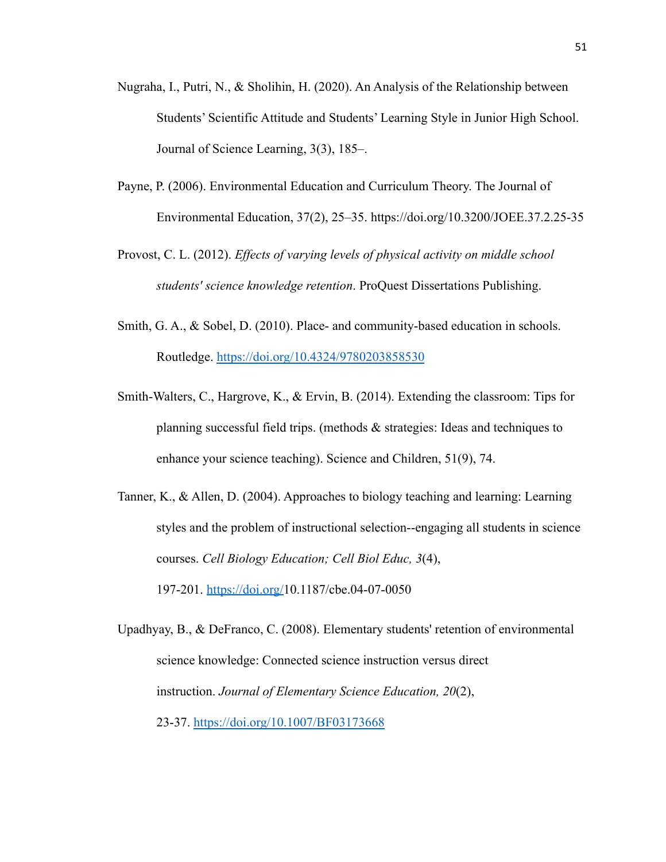- Nugraha, I., Putri, N., & Sholihin, H. (2020). An Analysis of the Relationship between Students' Scientific Attitude and Students' Learning Style in Junior High School. Journal of Science Learning, 3(3), 185–.
- Payne, P. (2006). Environmental Education and Curriculum Theory. The Journal of Environmental Education, 37(2), 25–35. https://doi.org/10.3200/JOEE.37.2.25-35
- Provost, C. L. (2012). *Effects of varying levels of physical activity on middle school students' science knowledge retention*. ProQuest Dissertations Publishing.
- Smith, G. A., & Sobel, D. (2010). Place- and community-based education in schools. Routledge. <https://doi.org/10.4324/9780203858530>
- Smith-Walters, C., Hargrove, K., & Ervin, B. (2014). Extending the classroom: Tips for planning successful field trips. (methods & strategies: Ideas and techniques to enhance your science teaching). Science and Children, 51(9), 74.
- Tanner, K., & Allen, D. (2004). Approaches to biology teaching and learning: Learning styles and the problem of instructional selection--engaging all students in science courses. *Cell Biology Education; Cell Biol Educ, 3*(4), 197-201. [https://doi.org/1](https://doi.org/)0.1187/cbe.04-07-0050

Upadhyay, B., & DeFranco, C. (2008). Elementary students' retention of environmental science knowledge: Connected science instruction versus direct instruction. *Journal of Elementary Science Education, 20*(2), 23-37. <https://doi.org/10.1007/BF03173668>